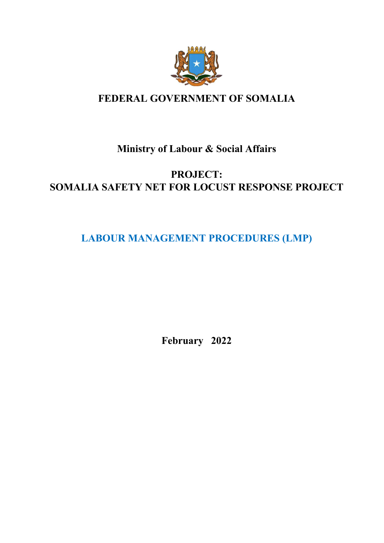

# **FEDERAL GOVERNMENT OF SOMALIA**

# **Ministry of Labour & Social Affairs**

# **PROJECT: SOMALIA SAFETY NET FOR LOCUST RESPONSE PROJECT**

**LABOUR MANAGEMENT PROCEDURES (LMP)** 

**February 2022**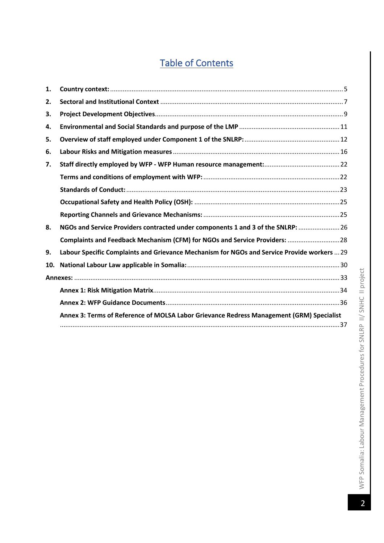# Table of Contents

| 1.  |                                                                                             |
|-----|---------------------------------------------------------------------------------------------|
| 2.  |                                                                                             |
| 3.  |                                                                                             |
| 4.  |                                                                                             |
| 5.  |                                                                                             |
| 6.  |                                                                                             |
| 7.  |                                                                                             |
|     |                                                                                             |
|     |                                                                                             |
|     |                                                                                             |
|     |                                                                                             |
| 8.  | NGOs and Service Providers contracted under components 1 and 3 of the SNLRP:  26            |
|     | Complaints and Feedback Mechanism (CFM) for NGOs and Service Providers:  28                 |
| 9.  | Labour Specific Complaints and Grievance Mechanism for NGOs and Service Provide workers  29 |
| 10. |                                                                                             |
|     |                                                                                             |
|     |                                                                                             |
|     |                                                                                             |
|     | Annex 3: Terms of Reference of MOLSA Labor Grievance Redress Management (GRM) Specialist    |
|     |                                                                                             |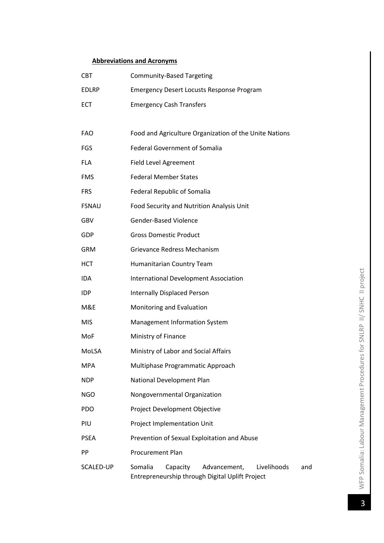## **Abbreviations and Acronyms**

| <b>CBT</b>       | <b>Community-Based Targeting</b>                                                                             |  |  |  |  |  |
|------------------|--------------------------------------------------------------------------------------------------------------|--|--|--|--|--|
| EDLRP            | <b>Emergency Desert Locusts Response Program</b>                                                             |  |  |  |  |  |
| <b>ECT</b>       | <b>Emergency Cash Transfers</b>                                                                              |  |  |  |  |  |
|                  |                                                                                                              |  |  |  |  |  |
| <b>FAO</b>       | Food and Agriculture Organization of the Unite Nations                                                       |  |  |  |  |  |
| FGS              | <b>Federal Government of Somalia</b>                                                                         |  |  |  |  |  |
| <b>FLA</b>       | Field Level Agreement                                                                                        |  |  |  |  |  |
| <b>FMS</b>       | <b>Federal Member States</b>                                                                                 |  |  |  |  |  |
| <b>FRS</b>       | <b>Federal Republic of Somalia</b>                                                                           |  |  |  |  |  |
| <b>FSNAU</b>     | Food Security and Nutrition Analysis Unit                                                                    |  |  |  |  |  |
| GBV              | <b>Gender-Based Violence</b>                                                                                 |  |  |  |  |  |
| GDP              | <b>Gross Domestic Product</b>                                                                                |  |  |  |  |  |
| <b>GRM</b>       | Grievance Redress Mechanism                                                                                  |  |  |  |  |  |
| <b>HCT</b>       | Humanitarian Country Team                                                                                    |  |  |  |  |  |
| IDA              | <b>International Development Association</b>                                                                 |  |  |  |  |  |
| IDP              | <b>Internally Displaced Person</b>                                                                           |  |  |  |  |  |
| M&E              | Monitoring and Evaluation                                                                                    |  |  |  |  |  |
| <b>MIS</b>       | Management Information System                                                                                |  |  |  |  |  |
| MoF              | Ministry of Finance                                                                                          |  |  |  |  |  |
| MoLSA            | Ministry of Labor and Social Affairs                                                                         |  |  |  |  |  |
| MPA              | Multiphase Programmatic Approach                                                                             |  |  |  |  |  |
| <b>NDP</b>       | National Development Plan                                                                                    |  |  |  |  |  |
| <b>NGO</b>       | Nongovernmental Organization                                                                                 |  |  |  |  |  |
| <b>PDO</b>       | Project Development Objective                                                                                |  |  |  |  |  |
| PIU              | Project Implementation Unit                                                                                  |  |  |  |  |  |
| <b>PSEA</b>      | Prevention of Sexual Exploitation and Abuse                                                                  |  |  |  |  |  |
| PP               | Procurement Plan                                                                                             |  |  |  |  |  |
| <b>SCALED-UP</b> | Somalia<br>Capacity<br>Advancement,<br>Livelihoods<br>and<br>Entrepreneurship through Digital Uplift Project |  |  |  |  |  |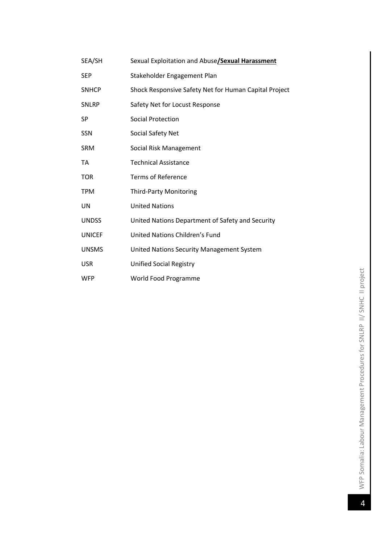| SEA/SH        | Sexual Exploitation and Abuse/Sexual Harassment       |
|---------------|-------------------------------------------------------|
| <b>SEP</b>    | Stakeholder Engagement Plan                           |
| <b>SNHCP</b>  | Shock Responsive Safety Net for Human Capital Project |
| <b>SNLRP</b>  | Safety Net for Locust Response                        |
| <b>SP</b>     | <b>Social Protection</b>                              |
| <b>SSN</b>    | Social Safety Net                                     |
| <b>SRM</b>    | Social Risk Management                                |
| TA            | <b>Technical Assistance</b>                           |
| <b>TOR</b>    | <b>Terms of Reference</b>                             |
| <b>TPM</b>    | <b>Third-Party Monitoring</b>                         |
| UN            | <b>United Nations</b>                                 |
| <b>UNDSS</b>  | United Nations Department of Safety and Security      |
| <b>UNICEF</b> | United Nations Children's Fund                        |
| <b>UNSMS</b>  | United Nations Security Management System             |
| <b>USR</b>    | <b>Unified Social Registry</b>                        |
| <b>WFP</b>    | World Food Programme                                  |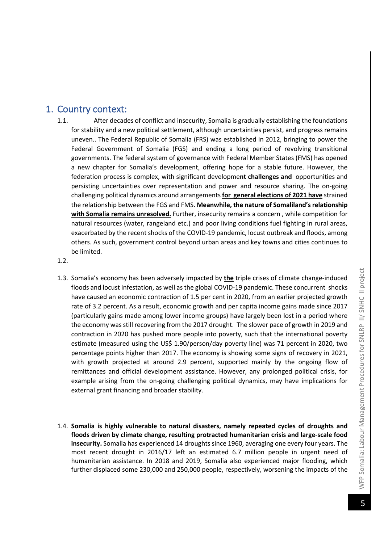## 1. Country context:

- 1.1. After decades of conflict and insecurity, Somalia is gradually establishing the foundations for stability and a new political settlement, although uncertainties persist, and progress remains uneven.. The Federal Republic of Somalia (FRS) was established in 2012, bringing to power the Federal Government of Somalia (FGS) and ending a long period of revolving transitional governments. The federal system of governance with Federal Member States (FMS) has opened a new chapter for Somalia's development, offering hope for a stable future. However, the federation process is complex, with significant developme**nt challenges and** opportunities and persisting uncertainties over representation and power and resource sharing. The on-going challenging political dynamics around arrangements **for general elections of 2021 have** strained the relationship between the FGS and FMS. **Meanwhile, the nature of Somaliland's relationship with Somalia remains unresolved.** Further, insecurity remains a concern , while competition for natural resources (water, rangeland etc.) and poor living conditions fuel fighting in rural areas, exacerbated by the recent shocks of the COVID-19 pandemic, locust outbreak and floods, among others. As such, government control beyond urban areas and key towns and cities continues to be limited.
- 1.2.
- 1.3. Somalia's economy has been adversely impacted by **the** triple crises of climate change-induced floods and locust infestation, as well as the global COVID-19 pandemic. These concurrent shocks have caused an economic contraction of 1.5 per cent in 2020, from an earlier projected growth rate of 3.2 percent. As a result, economic growth and per capita income gains made since 2017 (particularly gains made among lower income groups) have largely been lost in a period where the economy was still recovering from the 2017 drought. The slower pace of growth in 2019 and contraction in 2020 has pushed more people into poverty, such that the international poverty estimate (measured using the US\$ 1.90/person/day poverty line) was 71 percent in 2020, two percentage points higher than 2017. The economy is showing some signs of recovery in 2021, with growth projected at around 2.9 percent, supported mainly by the ongoing flow of remittances and official development assistance. However, any prolonged political crisis, for example arising from the on-going challenging political dynamics, may have implications for external grant financing and broader stability.
- 1.4. **Somalia is highly vulnerable to natural disasters, namely repeated cycles of droughts and floods driven by climate change, resulting protracted humanitarian crisis and large-scale food insecurity.** Somalia has experienced 14 droughts since 1960, averaging one every four years. The most recent drought in 2016/17 left an estimated 6.7 million people in urgent need of humanitarian assistance. In 2018 and 2019, Somalia also experienced major flooding, which further displaced some 230,000 and 250,000 people, respectively, worsening the impacts of the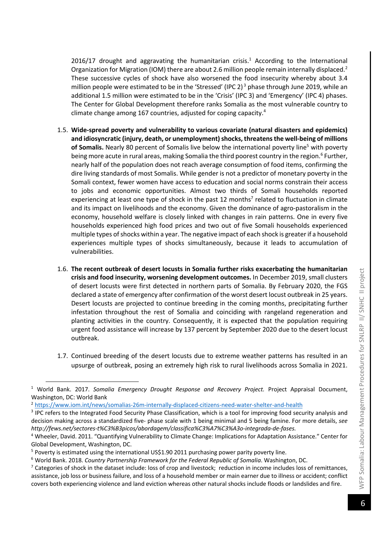$2016/17$  drought and aggravating the humanitarian crisis.<sup>1</sup> According to the International Organization for Migration (IOM) there are about 2.6 million people remain internally displaced.<sup>2</sup> These successive cycles of shock have also worsened the food insecurity whereby about 3.4 million people were estimated to be in the 'Stressed' (IPC 2)<sup>3</sup> phase through June 2019, while an additional 1.5 million were estimated to be in the 'Crisis' (IPC 3) and 'Emergency' (IPC 4) phases. The Center for Global Development therefore ranks Somalia as the most vulnerable country to climate change among 167 countries, adjusted for coping capacity. 4

- 1.5. **Wide -spread poverty and vulnerability to various covariate (natural disasters and epidemics) and idiosyncratic (injury, death, or unemployment) shocks, threatens the well -being of millions**  of Somalis. Nearly 80 percent of Somalis live below the international poverty line<sup>5</sup> with poverty being more acute in rural areas, making Somalia the third poorest country in the region. <sup>6</sup> Further, nearly half of the population does not reach average consumption of food items, confirming the dire living standards of most Somalis. While gender is not a predictor of monetary poverty in the Somali context, fewer women have access to education and social norms constrain their access to jobs and economic opportunities. Almost two thirds of Somali households reported experiencing at least one type of shock in the past 12 months<sup>7</sup> related to fluctuation in climate and its impact on livelihoods and the economy. Given the dominance of agro -pastoralism in the economy, household welfare is closely linked with changes in rain patterns. One in every five households experienced high food prices and two out of five Somali households experienced multiple types of shocks within a year. The negative impact of each shock is greater if a household experiences multiple types of shocks simultaneously, because it leads to accumulation of vulnerabilities.
- 1.6. **The recent outbreak of desert locusts in Somalia further risks exacerbating the humanitarian crisis and food insecurity, worsening development outcomes.** In December 2019, small clusters of desert locusts were first detected in northern parts of Somalia. By February 2020, the FGS declared a state of emergency after confirmation of the worst desert locust outbreak in 25 years. Desert locusts are projected to continue breeding in the coming months, precipitating further infestation throughout the rest of Somalia and coinciding with rangeland regeneration and planting activities in the country. Consequently, it is expected that the population requiring urgent food assistance will increase by 137 percent by September 2020 due to the desert locust outbreak.
- 1.7. Continued breeding of the desert locusts due to extreme weather patterns has resulted in an upsurge of outbreak, posing an extremely high risk to rural livelihoods across Somalia in 2021.

<sup>1</sup> World Bank. 2017. *Somalia Emergency Drought Response and Recovery Project.* Project Appraisal Document, Washington, DC: World Bank

<sup>&</sup>lt;sup>2</sup> https://www.iom.int/news/somalias-26m-internally-displaced-citizens-need-water-shelter-and-health

<sup>&</sup>lt;sup>3</sup> IPC refers to the Integrated Food Security Phase Classification, which is a tool for improving food security analysis and decision making across a standardized five - phase scale with 1 being minimal and 5 being famine. For more details, *see http://fews.net/sectores -t%C3%B3picos/abordagem/classifica%C3%A7%C3%A3o -integrada -de -fases.*

<sup>4</sup> Wheeler, David. 2011. "Quantifying Vulnerability to Climate Change: Implications for Adaptation Assistance." Center for Global Development, Washington, DC.<br><sup>5</sup> Poverty is estimated using the international US\$1.90 2011 purchasing power parity poverty line.

<sup>6</sup> World Bank. 2018. *Country Partnership Framework for the Federal Republic of Somalia*. Washington, DC.

 $7$  Categories of shock in the dataset include: loss of crop and livestock; reduction in income includes loss of remittances, assistance, job loss or business failure, and loss of a household member or main earner due to illness or accident; conflict covers both experiencing violence and land eviction whereas other natural shocks include floods or landslides and fire.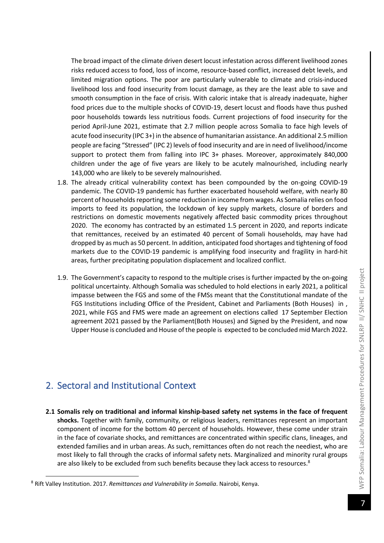The broad impact of the climate driven desert locust infestation across different livelihood zones risks reduced access to food, loss of income, resource -based conflict, increased debt levels, and limited migration options. The poor are particularly vulnerable to climate and crisis -induced livelihood loss and food insecurity from locust damage, as they are the least able to save and smooth consumption in the face of crisis. With caloric intake that is already inadequate, higher food prices due to the multiple shocks of COVID -19, desert locust and floods have thus pushed poor households towards less nutritious foods. Current projections of food insecurity for the period April -June 2021, estimate that 2.7 million people across Somalia to face high levels of acute food insecurity (IPC 3+) in the absence of humanitarian assistance. An additional 2.5 million people are facing "Stressed" (IPC 2) levels of food insecurity and are in need of livelihood/income support to protect them from falling into IPC 3+ phases. Moreover, approximately 840,000 children under the age of five years are likely to be acutely malnourished, including nearly 143,000 who are likely to be severely malnourished.

- 1.8. The already critical vulnerability context has been compounded by the on -going COVID -19 pandemic. The COVID -19 pandemic has further exacerbated household welfare, with nearly 80 percent of households reporting some reduction in income from wages. As Somalia relies on food imports to feed its population, the lockdown of key supply markets, closure of borders and restrictions on domestic movements negatively affected basic commodity prices throughout 2020. The economy has contracted by an estimated 1.5 percent in 2020, and reports indicate that remittances, received by an estimated 40 percent of Somali households, may have had dropped by as much as 50 percent. In addition, anticipated food shortages and tightening of food markets due to the COVID-19 pandemic is amplifying food insecurity and fragility in hard-hit areas, further precipitating population displacement and localized conflict.
- 1.9. The Government's capacity to respond to the multiple crises is further impacted by the on -going political uncertainty. Although Somalia was scheduled to hold elections in early 2021, a political impasse between the FGS and some of the FMSs meant that the Constitutional mandate of the FGS Institutions including Office of the President, Cabinet and Parliaments (Both Houses) in , 2021 , while FGS and FMS were made an agreement on elections called 17 September Election agreement 2021 passed by the Parliament(Both Houses) and Signed by the President, and now Upper House is concluded and House of the people is expected to be concluded mid March 2022 .

# 2. Sectoral and Institutional Context

**2.1 Somalis rely on traditional and informal kinship -based safety net systems in the face of frequent shocks.** Together with family, community, or religious leaders, remittances represent an important component of income for the bottom 40 percent of households. However, these come under strain in the face of covariate shocks, and remittances are concentrated within specific clans, lineages, and extended families and in urban areas. As such, remittances often do not reach the neediest, who are most likely to fall through the cracks of informal safety nets. Marginalized and minority rural groups are also likely to be excluded from such benefits because they lack access to resources.<sup>8</sup>

<sup>8</sup> Rift Valley Institution. 2017. *Remittances and Vulnerability in Somalia*. Nairobi, Kenya.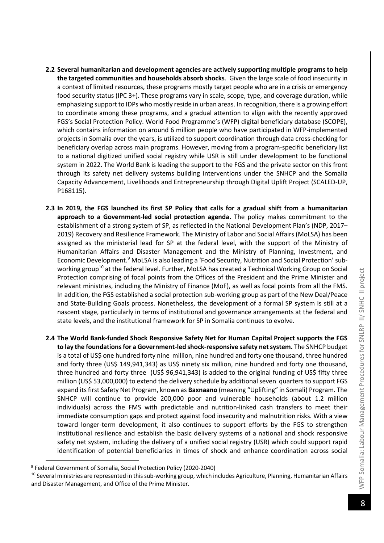- **2.2 Several humanitarian and development agencies are actively supporting multiple programs to help the targeted communities and households absorb shocks**. Given the large scale of food insecurity in a context of limited resources, these programs mostly target people who are in a crisis or emergency food security status (IPC 3+). These programs vary in scale, scope, type, and coverage duration, while emphasizing support to IDPs who mostly reside in urban areas. In recognition, there is a growing effort to coordinate among these programs, and a gradual attention to align with the recently approved FGS's Social Protection Policy. World Food Programme's (WFP) digital beneficiary database (SCOPE), which contains information on around 6 million people who have participated in WFP-implemented projects in Somalia over the years, is utilized to support coordination through data cross-checking for beneficiary overlap across main programs. However, moving from a program-specific beneficiary list to a national digitized unified social registry while USR is still under development to be functional system in 2022. The World Bank is leading the support to the FGS and the private sector on this front through its safety net delivery systems building interventions under the SNHCP and the Somalia Capacity Advancement, Livelihoods and Entrepreneurship through Digital Uplift Project (SCALED-UP, P168115).
- **2.3 In 2019, the FGS launched its first SP Policy that calls for a gradual shift from a humanitarian approach to a Government-led social protection agenda.** The policy makes commitment to the establishment of a strong system of SP, as reflected in the National Development Plan's (NDP, 2017– 2019) Recovery and Resilience Framework. The Ministry of Labor and Social Affairs (MoLSA) has been assigned as the ministerial lead for SP at the federal level, with the support of the Ministry of Humanitarian Affairs and Disaster Management and the Ministry of Planning, Investment, and Economic Development.9 MoLSA is also leading a 'Food Security, Nutrition and Social Protection' subworking group<sup>10</sup> at the federal level. Further, MoLSA has created a Technical Working Group on Social Protection comprising of focal points from the Offices of the President and the Prime Minister and relevant ministries, including the Ministry of Finance (MoF), as well as focal points from all the FMS. In addition, the FGS established a social protection sub-working group as part of the New Deal/Peace and State-Building Goals process. Nonetheless, the development of a formal SP system is still at a nascent stage, particularly in terms of institutional and governance arrangements at the federal and state levels, and the institutional framework for SP in Somalia continues to evolve.
- **2.4 The World Bank-funded Shock Responsive Safety Net for Human Capital Project supports the FGS to lay the foundations for a Government-led shock-responsive safety net system.** The SNHCP budget is a total of US\$ one hundred forty nine million, nine hundred and forty one thousand, three hundred and forty three (US\$ 149,941,343) as US\$ ninety six million, nine hundred and forty one thousand, three hundred and forty three (US\$ 96,941,343) is added to the original funding of US\$ fifty three million (US\$ 53,000,000) to extend the delivery schedule by additional seven quarters to support FGS expand its first Safety Net Program, known as **Baxnaano** (meaning "Uplifting" in Somali) Program. The SNHCP will continue to provide 200,000 poor and vulnerable households (about 1.2 million individuals) across the FMS with predictable and nutrition-linked cash transfers to meet their immediate consumption gaps and protect against food insecurity and malnutrition risks. With a view toward longer-term development, it also continues to support efforts by the FGS to strengthen institutional resilience and establish the basic delivery systems of a national and shock responsive safety net system, including the delivery of a unified social registry (USR) which could support rapid identification of potential beneficiaries in times of shock and enhance coordination across social

<sup>9</sup> Federal Government of Somalia, Social Protection Policy (2020-2040)

<sup>&</sup>lt;sup>10</sup> Several ministries are represented in this sub-working group, which includes Agriculture, Planning, Humanitarian Affairs and Disaster Management, and Office of the Prime Minister.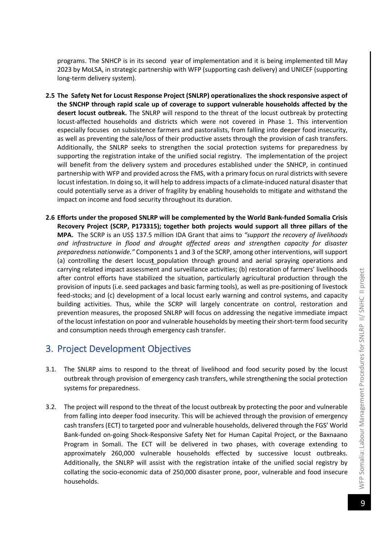programs. The SNHCP is in its second year of implementation and it is being implemented till May 2023 by MoLSA, in strategic partnership with WFP (supporting cash delivery) and UNICEF (supporting long -term delivery system).

- **2.5 The Safety Net for Locust Response Project (SNLRP) operationalizes the shock responsive aspect of the SNCHP through rapid scale up of coverage to support vulnerable households affected by the desert locust outbreak.** The SNLRP will respond to the threat of the locust outbreak by protecting locust -affected households and districts which were not covered in Phase 1. This intervention especially focuses on subsistence farmers and pastoralists, from falling into deeper food insecurity, as well as preventing the sale/loss of their productive assets through the provision of cash transfers. Additionally, the SNLRP seeks to strengthen the social protection systems for preparedness by supporting the registration intake of the unified social registry. The implementation of the project will benefit from the delivery system and procedures established under the SNHCP, in continued partnership with WFP and provided across the FMS, with a primary focus on rural districts with severe locust infestation. In doing so, it will help to address impacts of a climate -induced natural disaster that could potentially serve as a driver of fragility by enabling households to mitigate and withstand the impact on income and food security throughout its duration.
- **2.6 Efforts under the proposed SNLRP will be complemented by the World Ban k -funded Somalia Crisis Recovery Project (SCRP, P173315); together both projects would support all three pillars of the MPA.** The SCRP is an US\$ 137.5 million IDA Grant that aims to *"support the recovery of livelihoods and infrastructure in flood and drought affected areas and strengthen capacity for disaster preparedness nationwide."* Components 1 and 3 of the SCRP, among other interventions, will support (a) controlling the desert locust population through ground and aerial spraying operations and carrying related impact assessment and surveillance activities; (b) restoration of farmers' livelihoods after control efforts have stabilized the situation, particularly agricultural production through the provision of inputs (i.e. seed packages and basic farming tools), as well as pre -positioning of livestock feed -stocks; and (c) development of a local locust early warning and control systems, and capacity building activities. Thus, while the SCRP will largely concentrate on control, restoration and prevention measures, the proposed SNLRP will focus on addressing the negative immediate impact of the locust infestation on poor and vulnerable households by meeting their short -term food security and consumption needs through emergency cash transfer.

## 3. Project Development Objectives

- 3.1. The SNLRP aims to respond to the threat of livelihood and food security posed by the locust outbreak through provision of emergency cash transfers, while strengthening the social protection systems for preparedness.
- 3.2. The project will respond to the threat of the locust outbreak by protecting the poor and vulnerable from falling into deeper food insecurity. This will be achieved through the provision of emergency cash transfers (ECT) to targeted poor and vulnerable households, delivered through the FGS' World Bank-funded on-going Shock-Responsive Safety Net for Human Capital Project, or the Baxnaano Program in Somali. The ECT will be delivered in two phases, with coverage extending to approximately 260,000 vulnerable households effected by successive locust outbreaks. Additionally, the SNLRP will assist with the registration intake of the unified social registry by collating the socio -economic data of 250,000 disaster prone, poor, vulnerable and food insecure households.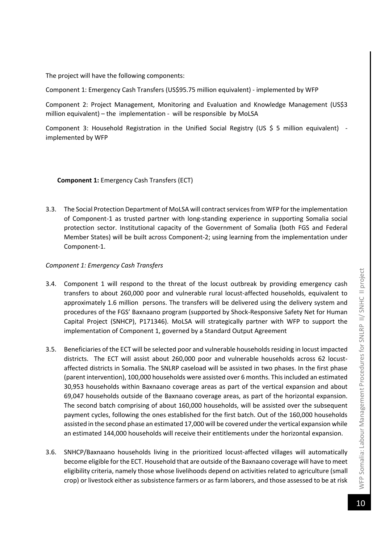The project will have the following components:

Component 1: Emergency Cash Transfers (US\$95.75 million equivalent) - implemented by WFP

Component 2: Project Management, Monitoring and Evaluation and Knowledge Management (US\$3 million equivalent) – the implementation - will be responsible by MoLSA

Component 3: Household Registration in the Unified Social Registry (US \$ 5 million equivalent) implemented by WFP

#### **Component 1:** Emergency Cash Transfers (ECT)

3.3. The Social Protection Department of MoLSA will contract services from WFP forthe implementation of Component-1 as trusted partner with long-standing experience in supporting Somalia social protection sector. Institutional capacity of the Government of Somalia (both FGS and Federal Member States) will be built across Component-2; using learning from the implementation under Component-1.

#### *Component 1: Emergency Cash Transfers*

- 3.4. Component 1 will respond to the threat of the locust outbreak by providing emergency cash transfers to about 260,000 poor and vulnerable rural locust-affected households, equivalent to approximately 1.6 million persons. The transfers will be delivered using the delivery system and procedures of the FGS' Baxnaano program (supported by Shock-Responsive Safety Net for Human Capital Project (SNHCP), P171346). MoLSA will strategically partner with WFP to support the implementation of Component 1, governed by a Standard Output Agreement
- 3.5. Beneficiaries of the ECT will be selected poor and vulnerable households residing in locust impacted districts. The ECT will assist about 260,000 poor and vulnerable households across 62 locustaffected districts in Somalia. The SNLRP caseload will be assisted in two phases. In the first phase (parent intervention), 100,000 households were assisted over 6 months. This included an estimated 30,953 households within Baxnaano coverage areas as part of the vertical expansion and about 69,047 households outside of the Baxnaano coverage areas, as part of the horizontal expansion. The second batch comprising of about 160,000 households, will be assisted over the subsequent payment cycles, following the ones established for the first batch. Out of the 160,000 households assisted in the second phase an estimated 17,000 will be covered under the vertical expansion while an estimated 144,000 households will receive their entitlements under the horizontal expansion.
- 3.6. SNHCP/Baxnaano households living in the prioritized locust-affected villages will automatically become eligible for the ECT. Household that are outside of the Baxnaano coverage will have to meet eligibility criteria, namely those whose livelihoods depend on activities related to agriculture (small crop) or livestock either as subsistence farmers or as farm laborers, and those assessed to be at risk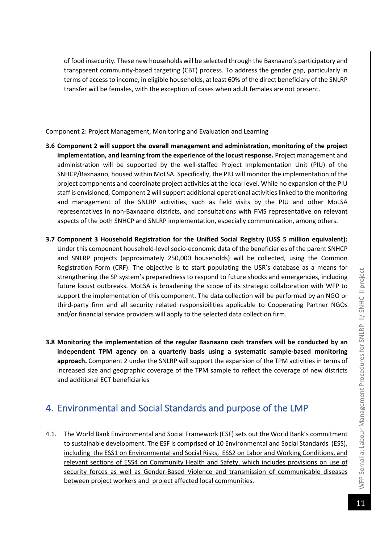of food insecurity . These new households will be selected through the Baxnaano's participatory and transparent community -based targeting (CBT) process. To address the gender gap, particularly in terms of access to income, in eligible households, at least 60% of the direct beneficiary of the SNLRP transfer will be females, with the exception of cases when adult females are not present.

Component 2: Project Management, Monitoring and Evaluation and Learning

- **3.6 Component 2 will support the overall management and administration, monitoring of the project implementation, and learning from the experience of the locust response.** Project management and administration will be supported by the well -staffed Project Implementation Unit (PIU) of the SNHCP/Baxnaano, housed within MoLSA. Specifically, the PIU will monitor the implementation of the project components and coordinate project activities at the local level. While no expansion of the PIU staff is envisioned, Component 2 will support additional operational activities linked to the monitoring and management of the SNLRP activities, such as field visits by the PIU and other MoLSA representatives in non -Baxnaano districts, and consultations with FMS representative on relevant aspects of the both SNHCP and SNLRP implementation, especially communication, among others.
- **3.7 Component 3 Household Registration for the Unified Social Registry (US\$ 5 million equivalent):** Under this component household-level socio-economic data of the beneficiaries of the parent SNHCP and SNLRP projects (approximately 250,000 households) will be collected, using the Common Registration Form (CRF). The objective is to start populating the USR's database as a means for strengthening the SP system's preparedness to respond to future shocks and emergencies, including future locust outbreaks. MoLSA is broadening the scope of its strategic collaboration with WFP to support the implementation of this component. The data collection will be performed by an NGO or third -party firm and all security related responsibilities applicable to Cooperating Partner NGOs and/or financial service providers will apply to the selected data collection firm.
- **3.8 Monitoring the implementation of the regular Baxnaano cash transfers will be conducted by an independent TPM agency on a quarterly basis using a systematic sample -based monitoring approach.** Component 2 under the SNLRP will support the expansion of the TPM activities in terms of increased size and geographic coverage of the TPM sample to reflect the coverage of new districts and additional ECT beneficiaries

## 4. Environmental and Social Standards and purpose of the LMP

4.1. The World Bank Environmental and Social Framework (ESF) sets out the World Bank's commitment to sustainable development. The ESF is comprised of 10 Environmental and Social Standards (ESS), including the ESS1 on Environmental and Social Risks, ESS2 on Labor and Working Conditions, and relevant sections of ESS4 on Community Health and Safety, which includes provisions on use of security forces as well as Gender-Based Violence and transmission of communicable diseases between project workers and project affected local communities.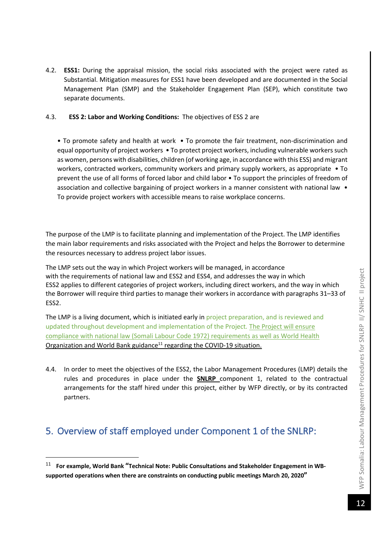4.2. **ESS1:** During the appraisal mission, the social risks associated with the project were rated as Substantial. Mitigation measures for ESS1 have been developed and are documented in the Social Management Plan (SMP) and the Stakeholder Engagement Plan (SEP), which constitute two separate documents.

#### 4.3. **ESS 2: Labor and Working Conditions:** The objectives of ESS 2 are

• To promote safety and health at work • To promote the fair treatment, non-discrimination and equal opportunity of project workers • To protect project workers, including vulnerable workers such as women, persons with disabilities, children (of working age, in accordance with this ESS) and migrant workers, contracted workers, community workers and primary supply workers, as appropriate • To prevent the use of all forms of forced labor and child labor • To support the principles of freedom of association and collective bargaining of project workers in a manner consistent with national law • To provide project workers with accessible means to raise workplace concerns.

The purpose of the LMP is to facilitate planning and implementation of the Project. The LMP identifies the main labor requirements and risks associated with the Project and helps the Borrower to determine the resources necessary to address project labor issues.

The LMP sets out the way in which Project workers will be managed, in accordance with the requirements of national law and ESS2 and ESS4, and addresses the way in which ESS2 applies to different categories of project workers, including direct workers, and the way in which the Borrower will require third parties to manage their workers in accordance with paragraphs 31–33 of ESS2.

The LMP is a living document, which is initiated early in project preparation, and is reviewed and updated throughout development and implementation of the Project*.* The Project will ensure compliance with national law (Somali Labour Code 1972) requirements as well as World Health Organization and World Bank guidance<sup>11</sup> regarding the COVID-19 situation.

4.4. In order to meet the objectives of the ESS2, the Labor Management Procedures (LMP) details the rules and procedures in place under the **SNLRP** component 1, related to the contractual arrangements for the staff hired under this project, either by WFP directly, or by its contracted partners.

## 5. Overview of staff employed under Component 1 of the SNLRP:

<sup>11</sup> **For example, World Bank "Technical Note: Public Consultations and Stakeholder Engagement in WBsupported operations when there are constraints on conducting public meetings March 20, 2020"**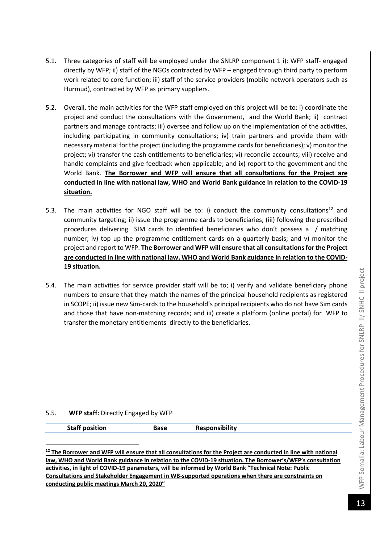- 5.1. Three categories of staff will be employed under the SNLRP component 1 i): WFP staff engaged directly by WFP; ii) staff of the NGOs contracted by WFP – engaged through third party to perform work related to core function; iii) staff of the service provider s (mobile network operators such as Hurmud), contracted by WFP as primary suppliers.
- 5.2. Overall, the main activities for the WFP staff employed on this project will be to: i) coordinate the project and conduct the consultations with the Government, and the World Bank; ii) contract partners and manage contracts; iii) oversee and follow up on the implementation of the activities, including participating in community consultations; iv) train partners and provide them with necessary material for the project (including the programme cards for beneficiaries); v) monitor the project; vi) transfer the cash entitlements to beneficiaries; vi) reconcile accounts; viii) receive and handle complaints and give feedback when applicable; and ix) report to the government and the World Bank. **The Borrower and WFP will ensure that all consultations for the Project are conducted in line with national law, WHO and World Bank guidance in relation to the COVID -19 situation.**
- 5.3. The main activities for NGO staff will be to: i) conduct the community consultations<sup>12</sup> and community targeting; ii) issue the programme cards to beneficiaries; (iii) following the prescribed procedures delivering SIM cards to identified beneficiaries who don't possess a / matching number; iv) top up the programme entitlement cards on a quarterly basis; and v) monitor the project and report to WFP. **The Borrower and WFP will ensure that all consultationsfor the Project are conducted in line with national law, WHO and World Bank guidance in relation to the COVID - 19 situation.**
- 5.4. The main activities for service provider staff will be to; i) verify and validate beneficiary phone numbers to ensure that they match the names of the principal household recipients as registered in SCOPE; ii) issue new Sim-cards to the household's principal recipients who do not have Sim cards and those that have non -matching records; and iii) create a platform (online portal) for WFP to transfer the monetary entitlements directly to the beneficiaries.

5.5. **WFP staff: Directly Engaged by WFP** 

| esnonsibility <sup>ס</sup><br><b>Staff nosition</b><br>sase |
|-------------------------------------------------------------|
|-------------------------------------------------------------|

**<sup>12</sup> The Borrower and WFP will ensure that all consultations for the Project are conducted in line with national law, WHO and World Bank guidance in relation to the COVID -19 situation. The Borrower's/WFP's consultation activities , in light of COVID -19 parameters , will be informed by World Bank "Technical Note: Public Consultations and Stakeholder Engagement in WB -supported operations when there are constraints on conducting public meetings March 20, 2020"**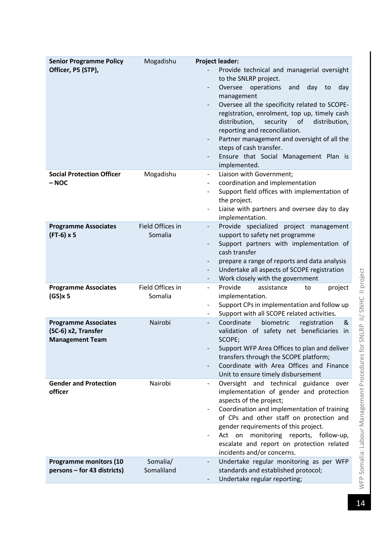| <b>Senior Programme Policy</b><br>Officer, P5 (STP),                         | Mogadishu                   | <b>Project leader:</b><br>Provide technical and managerial oversight<br>to the SNLRP project.<br>operations<br>Oversee<br>and<br>day to<br>day<br>management<br>Oversee all the specificity related to SCOPE-<br>registration, enrolment, top up, timely cash<br>distribution,<br>security<br>of<br>distribution,<br>reporting and reconciliation.<br>Partner management and oversight of all the<br>steps of cash transfer.<br>Ensure that Social Management Plan is<br>$\overline{\phantom{a}}$<br>implemented. |
|------------------------------------------------------------------------------|-----------------------------|-------------------------------------------------------------------------------------------------------------------------------------------------------------------------------------------------------------------------------------------------------------------------------------------------------------------------------------------------------------------------------------------------------------------------------------------------------------------------------------------------------------------|
| <b>Social Protection Officer</b><br>– NOC                                    | Mogadishu                   | Liaison with Government;<br>$\overline{\phantom{a}}$<br>coordination and implementation<br>$\overline{\phantom{a}}$<br>Support field offices with implementation of<br>$\overline{\phantom{a}}$<br>the project.<br>Liaise with partners and oversee day to day<br>implementation.                                                                                                                                                                                                                                 |
| <b>Programme Associates</b><br>$(FT-6)$ x 5                                  | Field Offices in<br>Somalia | Provide specialized<br>project management<br>$\overline{\phantom{a}}$<br>support to safety net programme<br>Support partners with implementation of<br>cash transfer<br>prepare a range of reports and data analysis<br>Undertake all aspects of SCOPE registration<br>$\overline{\phantom{a}}$<br>Work closely with the government                                                                                                                                                                               |
| <b>Programme Associates</b><br>(G5)x5                                        | Field Offices in<br>Somalia | Provide<br>assistance<br>project<br>to<br>$\overline{\phantom{a}}$<br>implementation.<br>Support CPs in implementation and follow up<br>$\overline{\phantom{a}}$<br>Support with all SCOPE related activities.                                                                                                                                                                                                                                                                                                    |
| <b>Programme Associates</b><br>(SC-6) x2, Transfer<br><b>Management Team</b> | Nairobi                     | Coordinate<br>biometric<br>registration<br>&<br>validation of safety net beneficiaries<br>in<br>SCOPE;<br>Support WFP Area Offices to plan and deliver<br>transfers through the SCOPE platform;<br>Coordinate with Area Offices and Finance<br>Unit to ensure timely disbursement                                                                                                                                                                                                                                 |
| <b>Gender and Protection</b><br>officer                                      | Nairobi                     | technical guidance<br>Oversight and<br>over<br>implementation of gender and protection<br>aspects of the project;<br>Coordination and implementation of training<br>of CPs and other staff on protection and<br>gender requirements of this project.<br>monitoring reports, follow-up,<br>Act on<br>$\overline{\phantom{a}}$<br>escalate and report on protection related<br>incidents and/or concerns.                                                                                                           |
| <b>Programme monitors (10</b><br>persons - for 43 districts)                 | Somalia/<br>Somaliland      | Undertake regular monitoring as per WFP<br>standards and established protocol;<br>Undertake regular reporting;                                                                                                                                                                                                                                                                                                                                                                                                    |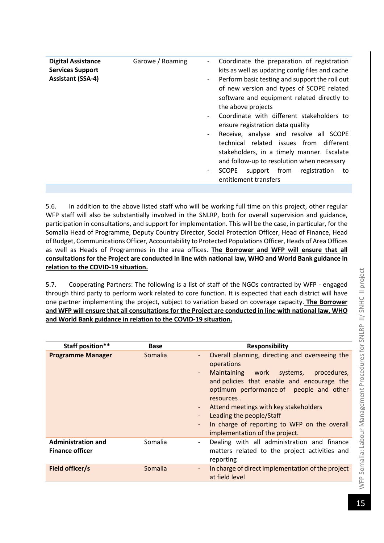| <b>Services Support</b><br><b>Assistant (SSA-4)</b><br>$\overline{\phantom{a}}$<br>the above projects<br>$\overline{\phantom{a}}$<br>ensure registration data quality<br>$\overline{\phantom{a}}$<br><b>SCOPE</b><br>support from<br>registration<br>$\overline{\phantom{a}}$<br>entitlement transfers | <b>Digital Assistance</b> | Garowe / Roaming<br>$\overline{\phantom{0}}$ | Coordinate the preparation of registration<br>kits as well as updating config files and cache<br>Perform basic testing and support the roll out<br>of new version and types of SCOPE related<br>software and equipment related directly to<br>Coordinate with different stakeholders to<br>Receive, analyse and resolve all SCOPE<br>technical related issues from different<br>stakeholders, in a timely manner. Escalate<br>and follow-up to resolution when necessary<br>to |
|--------------------------------------------------------------------------------------------------------------------------------------------------------------------------------------------------------------------------------------------------------------------------------------------------------|---------------------------|----------------------------------------------|--------------------------------------------------------------------------------------------------------------------------------------------------------------------------------------------------------------------------------------------------------------------------------------------------------------------------------------------------------------------------------------------------------------------------------------------------------------------------------|
|--------------------------------------------------------------------------------------------------------------------------------------------------------------------------------------------------------------------------------------------------------------------------------------------------------|---------------------------|----------------------------------------------|--------------------------------------------------------------------------------------------------------------------------------------------------------------------------------------------------------------------------------------------------------------------------------------------------------------------------------------------------------------------------------------------------------------------------------------------------------------------------------|

5.6. In addition to the above listed staff who will be working full time on this project, other regular WFP staff will also be substantially involved in the SNLRP, both for overall supervision and guidance, participation in consultations, and support for implementation. This will be the case , in particular , for the Somalia Head of Programme, Deputy Country Director, Social Protection Officer, Head of Finance, Head of Budget, Communications Officer, Accountability to Protected Populations Officer, Heads of Area Offices as well as Heads of Programmes in the area offices. **The Borrower and WFP will ensure that all consultations for the Project are conducted in line with national law, WHO and World Bank guidance in relation to the COVID -19 situation.**

5.7. Cooperating Partners: The following is a list of staff of the NGOs contracted by WFP - engaged through third party to perform work related to core function. It is expected that each district will have one partner implementing the project, subject to variation based on coverage capacity. **The Borrower and WFP will ensure that all consultations for the Project are conducted in line with national law, WHO and World Bank guidance in relation to the COVID -19 situation.**

| <b>Base</b>    | <b>Responsibility</b>                                                                                                                                                                                                                                                                                                                                                                                                                                                                                           |
|----------------|-----------------------------------------------------------------------------------------------------------------------------------------------------------------------------------------------------------------------------------------------------------------------------------------------------------------------------------------------------------------------------------------------------------------------------------------------------------------------------------------------------------------|
| <b>Somalia</b> | Overall planning, directing and overseeing the<br>$\overline{\phantom{a}}$<br>operations<br>Maintaining work systems, procedures,<br>$\overline{\phantom{a}}$<br>and policies that enable and encourage the<br>optimum performance of people and other<br>resources.<br>Attend meetings with key stakeholders<br>$\overline{\phantom{a}}$<br>Leading the people/Staff<br>$\overline{\phantom{a}}$<br>In charge of reporting to WFP on the overall<br>$\overline{\phantom{a}}$<br>implementation of the project. |
| Somalia        | Dealing with all administration and finance<br>$\overline{\phantom{a}}$<br>matters related to the project activities and<br>reporting                                                                                                                                                                                                                                                                                                                                                                           |
| Somalia        | In charge of direct implementation of the project<br>$\overline{\phantom{a}}$<br>at field level                                                                                                                                                                                                                                                                                                                                                                                                                 |
|                |                                                                                                                                                                                                                                                                                                                                                                                                                                                                                                                 |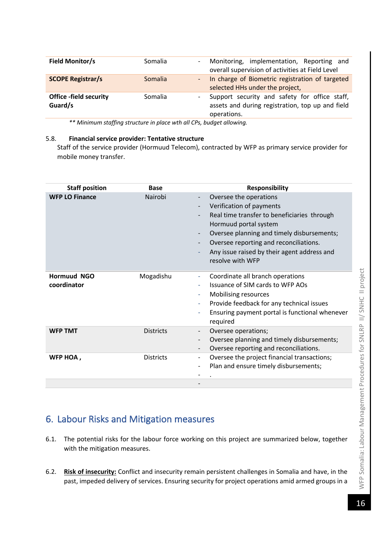| <b>Field Monitor/s</b>                   | Somalia | $\sim$ 100 $\pm$ | Monitoring, implementation, Reporting and<br>overall supervision of activities at Field Level                    |
|------------------------------------------|---------|------------------|------------------------------------------------------------------------------------------------------------------|
| <b>SCOPE Registrar/s</b>                 | Somalia |                  | - In charge of Biometric registration of targeted<br>selected HHs under the project,                             |
| <b>Office -field security</b><br>Guard/s | Somalia | $\sim$           | Support security and safety for office staff,<br>assets and during registration, top up and field<br>operations. |

*\*\* Minimum staffing structure in place wth all CPs, budget allowing.* 

#### 5.8. **Financial service provider: Tentative structure**

Staff of the service provider (Hormuud Telecom), contracted by WFP as primary service provider for mobile money transfer.

| <b>Staff position</b>             | <b>Base</b>      | <b>Responsibility</b>                                                                                                                                                                                                                                                                                                                                                     |
|-----------------------------------|------------------|---------------------------------------------------------------------------------------------------------------------------------------------------------------------------------------------------------------------------------------------------------------------------------------------------------------------------------------------------------------------------|
| <b>WFP LO Finance</b>             | Nairobi          | Oversee the operations<br>$\overline{\phantom{a}}$<br>Verification of payments<br>Real time transfer to beneficiaries through<br>$\overline{\phantom{a}}$<br>Hormuud portal system<br>Oversee planning and timely disbursements;<br>Oversee reporting and reconciliations.<br>$\overline{\phantom{a}}$<br>Any issue raised by their agent address and<br>resolve with WFP |
| <b>Hormuud NGO</b><br>coordinator | Mogadishu        | Coordinate all branch operations<br>$\overline{\phantom{a}}$<br>Issuance of SIM cards to WFP AOs<br>Mobilising resources<br>٠<br>Provide feedback for any technical issues<br>$\overline{\phantom{a}}$<br>Ensuring payment portal is functional whenever<br>٠<br>required                                                                                                 |
| <b>WFP TMT</b>                    | <b>Districts</b> | Oversee operations;<br>$\overline{\phantom{a}}$<br>Oversee planning and timely disbursements;<br>$\overline{\phantom{a}}$<br>Oversee reporting and reconciliations.                                                                                                                                                                                                       |
| WFP HOA,                          | <b>Districts</b> | Oversee the project financial transactions;<br>$\overline{\phantom{a}}$<br>Plan and ensure timely disbursements;                                                                                                                                                                                                                                                          |
|                                   |                  |                                                                                                                                                                                                                                                                                                                                                                           |

# 6. Labour Risks and Mitigation measures

- 6.1. The potential risks for the labour force working on this project are summarized below, together with the mitigation measures .
- 6.2. **Risk of insecurity:** Conflict and insecurity remain persistent challenges in Somalia and have, in the past, impeded delivery of services. Ensuring security for project operations amid armed groups in a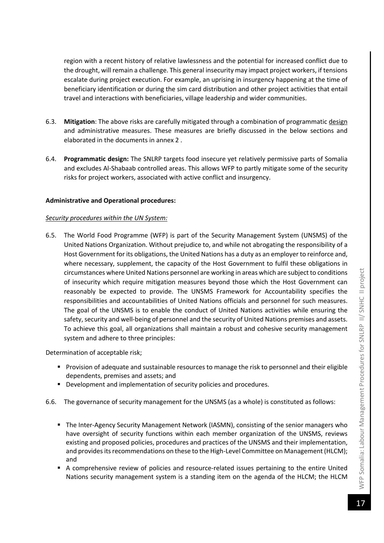region with a recent history of relative lawlessness and the potential for increased conflict due to the drought, will remain a challenge. This general insecurity may impact project workers, if tensions escalate during project execution. For example, an uprising in insurgency happening at the time of beneficiary identification or during the sim card distribution and other project activities that entail travel and interactions with beneficiaries, village leadership and wider communities.

- 6.3. **Mitigation**: The above risks are carefully mitigated through a combination of programmatic design and administrative measures. These measures are briefly discussed in the below sections and elaborated in the documents in annex 2 .
- 6.4. **Programmatic design:** The SNLRP targets food insecure yet relatively permissive parts of Somalia and excludes Al -Shabaab controlled areas. This allows WFP to partly mitigate some of the security risks for project workers, associated with active conflict and insurgency.

#### **Administrative and Operational procedures:**

#### *Security procedures within the UN System:*

6.5. The World Food Programme (WFP) is part of the Security Management System (UNSMS) of the United Nations Organization. Without prejudice to, and while not abrogating the responsibility of a Host Government for its obligations, the United Nations has a duty as an employer to reinforce and, where necessary, supplement, the capacity of the Host Government to fulfil these obligations in circumstances where United Nations personnel are working in areas which are subject to conditions of insecurity which require mitigation measures beyond those which the Host Government can reasonably be expected to provide. The UNSMS Framework for Accountability specifies the responsibilities and accountabilities of United Nations officials and personnel for such measures. The goal of the UNSMS is to enable the conduct of United Nations activities while ensuring the safety, security and well-being of personnel and the security of United Nations premises and assets. To achieve this goal, all organizations shall maintain a robust and cohesive security management system and adhere to three principles:

Determination of acceptable risk;

- Provision of adequate and sustainable resources to manage the risk to personnel and their eligible dependents, premises and assets; and
- Development and implementation of security policies and procedures.
- 6.6. The governance of security management for the UNSMS (as a whole ) is constituted as follows:
	- The Inter-Agency Security Management Network (IASMN), consisting of the senior managers who have oversight of security functions within each member organization of the UNSMS, reviews existing and proposed policies, procedures and practices of the UNSMS and their implementation, and provides its recommendations on these to the High -Level Committee on Management (HLCM); and
	- A comprehensive review of policies and resource-related issues pertaining to the entire United Nations security management system is a standing item on the agenda of the HLCM; the HLCM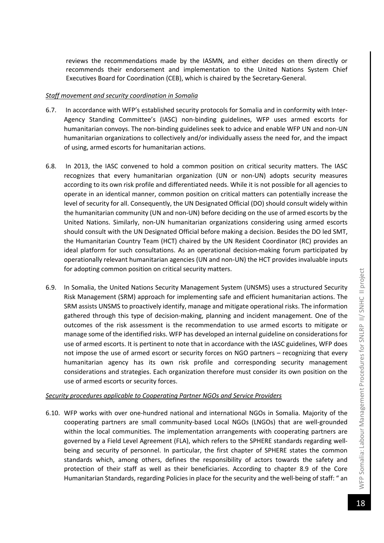reviews the recommendations made by the IASMN, and either decides on them directly or recommends their endorsement and implementation to the United Nations System Chief Executives Board for Coordination (CEB), which is chaired by the Secretary -General.

#### *Staff movement and security coordination in Somalia*

- 6.7. In accordance with WFP's established security protocols for Somalia and in conformity with Inter Agency Standing Committee's (IASC) non-binding guidelines, WFP uses armed escorts for humanitarian convoys. The non-binding guidelines seek to advice and enable WFP UN and non-UN humanitarian organizations to collectively and/or individually assess the need for, and the impact of using, armed escorts for humanitarian actions.
- 6.8. In 2013, the IASC convened to hold a common position on critical security matters. The IASC recognizes that every humanitarian organization (UN or non -UN) adopts security measures according to its own risk profile and differentiated needs. While it is not possible for all agencies to operate in an identical manner, common position on critical matters can potentially increase the level of security for all. Consequently, the UN Designated Official (DO) should consult widely within the humanitarian community (UN and non -UN) before deciding on the use of armed escorts by the United Nations. Similarly, non-UN humanitarian organizations considering using armed escorts should consult with the UN Designated Official before making a decision. Besides the DO led SMT, the Humanitarian Country Team (HCT) chaired by the UN Resident Coordinator (RC) provides an ideal platform for such consultations. As an operational decision -making forum participated by operationally relevant humanitarian agencies (UN and non -UN) the HCT provides invaluable inputs for adopting common position on critical security matters.
- 6.9. In Somalia, the United Nations Security Management System (UNSMS) uses a structured Security Risk Management (SRM) approach for implementing safe and efficient humanitarian actions. The SRM assists UNSMS to proactively identify, manage and mitigate operational risks. The information gathered through this type of decision -making, planning and incident management. One of the outcomes of the risk assessment is the recommendation to use armed escorts to mitigate or manage some of the identified risks. WFP has developed an internal guideline on considerations for use of armed escorts. It is pertinent to note that in accordance with the IASC guidelines, WFP does not impose the use of armed escort or security forces on NGO partners – recognizing that every humanitarian agency has its own risk profile and corresponding security management considerations and strategies. Each organization therefore must consider its own position on the use of armed escorts or security forces.

#### *Security procedures applicable to Cooperating Partner NGOs and Service Providers*

6.10. WFP works with over one -hundred national and international NGOs in Somalia. Majority of the cooperating partners are small community -based Local NGOs (LNGOs) that are well -grounded within the local communities. The implementation arrangements with cooperating partners are governed by a Field Level Agreement (FLA), which refers to the SPHERE standards regarding well being and security of personnel. In particular, the first chapter of SPHERE states the common standards which, among others, defines the responsibility of actors towards the safety and protection of their staff as well as their beneficiaries. According to chapter 8.9 of the Core Humanitarian Standards, regarding Policies in place for the security and the well -being of staff: " an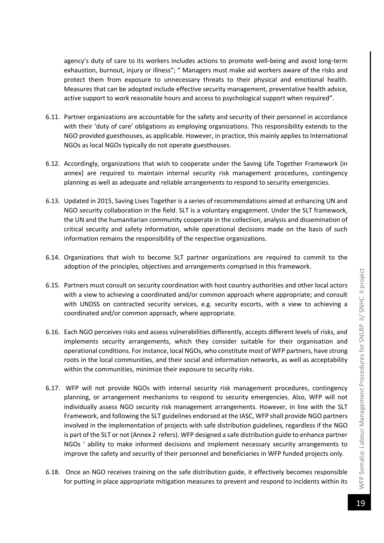agency's duty of care to its workers includes actions to promote well-being and avoid long-term exhaustion, burnout, injury or illness"; " Managers must make aid workers aware of the risks and protect them from exposure to unnecessary threats to their physical and emotional health. Measures that can be adopted include effective security management, preventative health advice, active support to work reasonable hours and access to psychological support when required".

- 6.11. Partner organizations are accountable for the safety and security of their personnel in accordance with their 'duty of care' obligations as employing organizations. This responsibility extends to the NGO provided guesthouses, as applicable. However, in practice, this mainly applies to International NGOs as local NGOs typically do not operate guesthouses.
- 6.12. Accordingly, organizations that wish to cooperate under the Saving Life Together Framework (in annex) are required to maintain internal security risk management procedures, contingency planning as well as adequate and reliable arrangements to respond to security emergencies.
- 6.13. Updated in 2015, Saving Lives Together is a series of recommendations aimed at enhancing UN and NGO security collaboration in the field. SLT is a voluntary engagement. Under the SLT framework, the UN and the humanitarian community cooperate in the collection, analysis and dissemination of critical security and safety information, while operational decisions made on the basis of such information remains the responsibility of the respective organizations.
- 6.14. Organizations that wish to become SLT partner organizations are required to commit to the adoption of the principles, objectives and arrangements comprised in this framework.
- 6.15. Partners must consult on security coordination with host country authorities and other local actors with a view to achieving a coordinated and/or common approach where appropriate; and consult with UNDSS on contracted security services, e.g. security escorts, with a view to achieving a coordinated and/or common approach, where appropriate.
- 6.16. Each NGO perceives risks and assess vulnerabilities differently, accepts different levels of risks, and implements security arrangements, which they consider suitable for their organisation and operational conditions. For instance, local NGOs, who constitute most of WFP partners, have strong roots in the local communities, and their social and information networks, as well as acceptability within the communities, minimize their exposure to security risks.
- 6.17. WFP will not provide NGOs with internal security risk management procedures, contingency planning, or arrangement mechanisms to respond to security emergencies. Also, WFP will not individually assess NGO security risk management arrangements. However, in line with the SLT Framework, and following the SLT guidelines endorsed at the IASC, WFP shall provide NGO partners involved in the implementation of projects with safe distribution guidelines, regardless if the NGO is part of the SLT or not (Annex 2 refers). WFP designed a safe distribution guide to enhance partner NGOs ' ability to make informed decisions and implement necessary security arrangements to improve the safety and security of their personnel and beneficiaries in WFP funded projects only.
- 6.18. Once an NGO receives training on the safe distribution guide, it effectively becomes responsible for putting in place appropriate mitigation measures to prevent and respond to incidents within its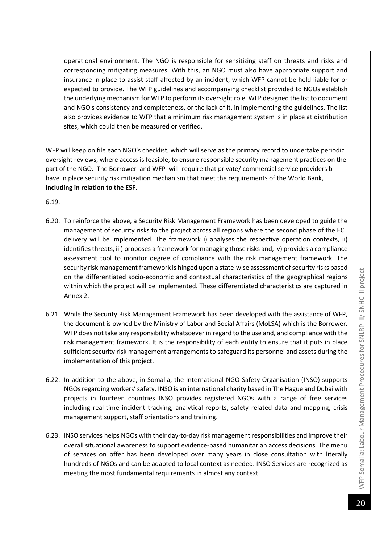operational environment. The NGO is responsible for sensitizing staff on threats and risks and corresponding mitigating measures. With this, an NGO must also have appropriate support and insurance in place to assist staff affected by an incident, which WFP cannot be held liable for or expected to provide. The WFP guidelines and accompanying checklist provided to NGOs establish the underlying mechanism for WFP to perform its oversight role. WFP designed the list to document and NGO's consistency and completeness, or the lack of it, in implementing the guidelines. The list also provides evidence to WFP that a minimum risk management system is in place at distribution sites, which could then be measured or verified.

WFP will keep on file each NGO's checklist, which will serve as the primary record to undertake periodic oversight reviews, where access is feasible, to ensure responsible security management practices on the part of the NGO. The Borrower and WFP will require that private/ commercial service providers b have in place security risk mitigation mechanism that meet the requirements of the World Bank , **including in relation to the ESF.** 

6.19.

- 6.20. To reinforce the above, a Security Risk Management Framework has been developed to guide the management of security risks to the project across all regions where the second phase of the ECT delivery will be implemented. The framework i) analyses the respective operation contexts, ii) identifies threats, iii) proposes a framework for managing those risks and, iv) provides a compliance assessment tool to monitor degree of compliance with the risk management framework. The security risk management framework is hinged upon a state -wise assessment of security risks based on the differentiated socio -economic and contextual characteristics of the geographical regions within which the project will be implemented. These differentiated characteristics are captured in Annex 2.
- 6.21. While the Security Risk Management Framework has been developed with the assistance of WFP, the document is owned by the Ministry of Labor and Social Affairs (MoLSA) which is the Borrower. WFP does not take any responsibility whatsoever in regard to the use and, and compliance with the risk management framework. It is the responsibility of each entity to ensure that it puts in place sufficient security risk management arrangements to safeguard its personnel and assets during the implementation of this project.
- 6.22. In addition to the above, in Somalia, the International NGO Safety Organisation (INSO) supports NGOs regarding workers' safety. INSO is an international charity based in The Hague and Dubai with projects in fourteen countries. INSO provides registered NGOs with a range of free services including real -time incident tracking, analytical reports, safety related data and mapping, crisis management support, staff orientations and training.
- 6.23. INSO services helps NGOs with their day -to -day risk management responsibilities and improve their overall situational awareness to support evidence -based humanitarian access decisions. The menu of services on offer has been developed over many years in close consultation with literally hundreds of NGOs and can be adapted to local context as needed. INSO Services are recognized as meeting the most fundamental requirements in almost any context.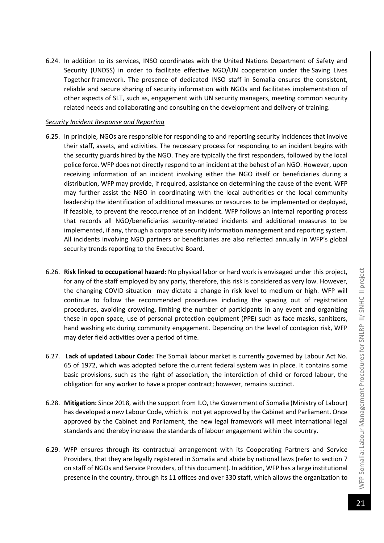6.24. In addition to its services, INSO coordinates with the United Nations Department of Safety and Security (UNDSS) in order to facilitate effective NGO/UN cooperation under the Saving Lives Together framework. The presence of dedicated INSO staff in Somalia ensures the consistent, reliable and secure sharing of security information with NGOs and facilitates implementation of other aspects of SLT, such as, engagement with UN security managers, meeting common security related needs and collaborating and consulting on the development and delivery of training.

#### *Security Incident Response and Reporting*

- 6.25. In principle, NGOs are responsible for responding to and reporting security incidences that involve their staff, assets, and activities. The necessary process for responding to an incident begins with the security guards hired by the NGO. They are typically the first responders, followed by the local police force. WFP does not directly respond to an incident at the behest of an NGO. However, upon receiving information of an incident involving either the NGO itself or beneficiaries during a distribution, WFP may provide, if required, assistance on determining the cause of the event. WFP may further assist the NGO in coordinating with the local authorities or the local community leadership the identification of additional measures or resources to be implemented or deployed, if feasible, to prevent the reoccurrence of an incident. WFP follows an internal reporting process that records all NGO/beneficiaries security-related incidents and additional measures to be implemented, if any, through a corporate security information management and reporting system. All incidents involving NGO partners or beneficiaries are also reflected annually in WFP's global security trends reporting to the Executive Board.
- 6.26. **Risk linked to occupational hazard:** No physical labor or hard work is envisaged under this project, for any of the staff employed by any party, therefore, this risk is considered as very low. However, the changing COVID situation may dictate a change in risk level to medium or high. WFP will continue to follow the recommended procedures including the spacing out of registration procedures, avoiding crowding, limiting the number of participants in any event and organizing these in open space, use of personal protection equipment (PPE) such as face masks, sanitizers, hand washing etc during community engagement. Depending on the level of contagion risk, WFP may defer field activities over a period of time.
- 6.27. **Lack of updated Labour Code:** The Somali labour market is currently governed by Labour Act No. 65 of 197 2, which was adopted before the current federal system was in place. It contains some basic provisions, such as the right of association, the interdiction of child or forced labour, the obligation for any worker to have a proper contract; however, remains succinct.
- 6.28. **Mitigation:** Since 2018, with the support from ILO , the Government of Somalia (Ministry of Labour) has developed a new Labour Code, which is not yet approved by the Cabinet and Parliament. Once approved by the Cabinet and Parliament, the new legal framework will meet international legal standards and thereby increase the standards of labour engagement within the country.
- 6.29. WFP ensures through its contractual arrangement with its Cooperating Partners and Service Providers, that they are legally registered in Somalia and abide by national law s (refer to section 7 on staff of NGOs and Service Providers, of this document ). In addition, WFP has a large institutional presence in the country, through its 11 offices and over 330 staff, which allows the organization to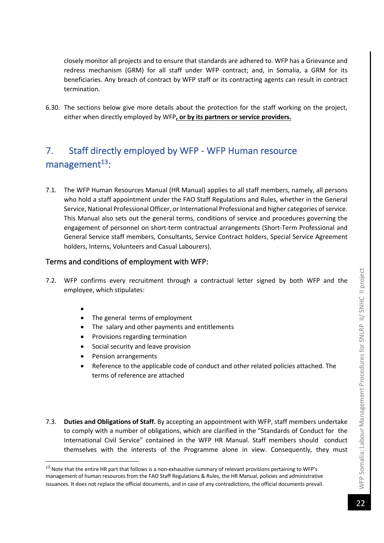closely monitor all projects and to ensure that standards are adhered to. WFP has a Grievance and redress mechanism (GRM) for all staff under WFP contract; and, in Somalia, a GRM for its beneficiaries. Any breach of contract by WFP staff or its contracting agents can result in contract termination.

6.30. The sections below give more details about the protection for the staff working on the project, either when directly employed by WFP**, or by its partners or service provider s .**

# 7. Staff directly employed by WFP - WFP Human resource management<sup>13</sup>:

7.1. The WFP Human Resources Manual (HR Manual) applies to all staff members, namely, all persons who hold a staff appointment under the FAO Staff Regulations and Rules, whether in the General Service, National Professional Officer, or International Professional and higher categories of service. This Manual also sets out the general terms, conditions of service and procedures governing the engagement of personnel on short-term contractual arrangements (Short-Term Professional and General Service staff members, Consultants, Service Contract holders, Special Service Agreement holders, Interns, Volunteers and Casual Labourers).

### Terms and conditions of employment with WFP :

- 7.2. WFP confirms every recruitment through a contractual letter signed by both WFP and the employee, which stipulates :
	-
	- The general terms of employment
	- The salary and other payments and entitlements
	- Provisions regarding termination
	- Social security and leave provision
	- Pension arrangements
	- Reference to the applicable code of conduct and other related policies attached. The terms of reference are attached
- 7.3. **Duties and Obligations of Staff.** By accepting an appointment with WFP, staff members undertake to comply with a number of obligations, which are clarified in the "Standards of Conduct for the International Civil Service" contained in the WFP HR Manual . Staff members should conduct themselves with the interests of the Programme alone in view. Consequently, they must

 $^{13}$  Note that the entire HR part that follows is a non-exhaustive summary of relevant provisions pertaining to WFP's management of human resources from the FAO Staff Regulations & Rules, the HR Manual, policies and administrative issuances. It does not replace the official documents, and in case of any contradictions, the official documents prevail .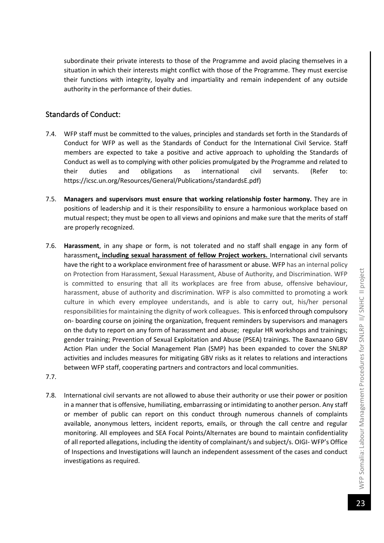subordinate their private interests to those of the Programme and avoid placing themselves in a situation in which their interests might conflict with those of the Programme. They must exercise their functions with integrity, loyalty and impartiality and remain independent of any outside authority in the performance of their duties.

### Standard s of Conduct:

- 7.4. WFP staff must be committed to the values, principles and standards set forth in the Standards of Conduct for WFP as well as the Standards of Conduct for the International Civil Service. Staff members are expected to take a positive and active approach to upholding the Standards of Conduct as well as to complying with other policies promulgated by the Programme and related to their duties and obligations as international civil servants. (Refer to: https://icsc.un.org/Resources/General/Publications/standardsE.pdf)
- 7.5. **Managers and supervisors must ensure that working relationship foster harmony.** They are in positions of leadership and it is their responsibility to ensure a harmonious workplace based on mutual respect; they must be open to all views and opinions and make sure that the merits of staff are properly recognized.
- 7.6. Harassment, in any shape or form, is not tolerated and no staff shall engage in any form of harassment**, including sexual harassment of fellow Project workers.** International civil servants have the right to a workplace environment free of harassment or abuse. WFP has an internal policy on Protection from Harassment, Sexual Harassment, Abuse of Authority, and Discrimination. WFP is committed to ensuring that all its workplaces are free from abuse, offensive behaviour, harassment, abuse of authority and discrimination. WFP is also committed to promoting a work culture in which every employee understands, and is able to carry out, his/her personal responsibilities for maintaining the dignity of work colleagues. This is enforced through compulsory on - boarding course on joining the organization, frequent reminders by supervisors and managers on the duty to report on any form of harassment and abuse; regular HR workshops and trainings; gender training; Prevention of Sexual Exploitation and Abuse (PSEA) trainings . The Baxnaano GBV Action Plan under the Social Management Plan (SMP) has been expanded to cover the SNLRP activities and includes measures for mitigating GBV risks as it relates to relations and interactions between WFP staff, cooperating partners and contractors and local communities.
- 7.7.
- 7.8. International civil servants are not allowed to abuse their authority or use their power or position in a manner that is offensive, humiliating, embarrassing or intimidating to another person. Any staff or member of public can report on this conduct through numerous channels of complaints available, anonymous letters, incident reports, emails, or through the call centre and regular monitoring. All employees and SEA Focal Points/Alternates are bound to maintain confidentiality of all reported allegations, including the identity of complainant/s and subject/s. OIGI-WFP's Office of Inspections and Investigations will launch an independent assessment of the cases and conduct investigations as required.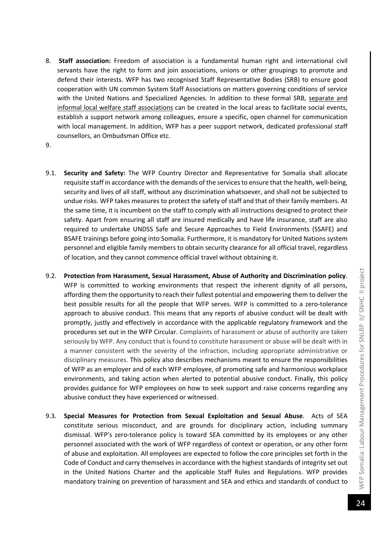- 8. **Staff association:** Freedom of association is a fundamental human right and international civil servants have the right to form and join associations, unions or other groupings to promote and defend their interests. WFP has two recognised Staff Representative Bodies (SRB) to ensure good cooperation with UN common System Staff Associations on matters governing conditions of service with the United Nations and Specialized Agencies. In addition to these formal SRB, separate and informal local welfare staff associations can be created in the local areas to facilitate social events, establish a support network among colleagues, ensure a specific, open channel for communication with local management. In addition, WFP has a peer support network, dedicated professional staff counsellors, an Ombudsman Office etc.
- 9.
- 9.1. **Security and Safety:** The WFP Country Director and Representative for Somalia shall allocate requisite staff in accordance with the demands of the services to ensure that the health, well-being, security and lives of all staff, without any discrimination whatsoever, and shall not be subjected to undue risks. WFP takes measures to protect the safety of staff and that of their family members. At the same time, it is incumbent on the staff to comply with all instructions designed to protect their safety. Apart from ensuring all staff are insured medically and have life insurance, staff are also required to undertake UNDSS Safe and Secure Approaches to Field Environments (SSAFE) and BSAFE trainings before going into Somalia. Furthermore, it is mandatory for United Nations system personnel and eligible family members to obtain security clearance for all official travel, regardless of location, and they cannot commence official travel without obtaining it.
- 9.2. **Protection from Harassment, Sexual Harassment, Abuse of Authority and Discrimination policy** . WFP is committed to working environments that respect the inherent dignity of all persons, affording them the opportunity to reach their fullest potential and empowering them to deliver the best possible results for all the people that WFP serves. WFP is committed to a zero -tolerance approach to abusive conduct. This means that any reports of abusive conduct will be dealt with promptly, justly and effectively in accordance with the applicable regulatory framework and the procedures set out in the WFP Circular. Complaints of harassment or abuse of authority are taken seriously by WFP. Any conduct that is found to constitute harassment or abuse will be dealt with in a manner consistent with the severity of the infraction, including appropriate administrative or disciplinary measures. This policy also describes mechanisms meant to ensure the responsibilities of WFP as an employer and of each WFP employee, of promoting safe and harmonious workplace environments, and taking action when alerted to potential abusive conduct. Finally, this policy provides guidance for WFP employees on how to seek support and raise concerns regarding any abusive conduct they have experienced or witnessed.
- 9.3. **Special Measures for Protection from Sexual Exploitation and Sexual Abuse** . Acts of SEA constitute serious misconduct, and are grounds for disciplinary action, including summary dismissal. WFP's zero -tolerance policy is toward SEA committed by its employees or any other personnel associated with the work of WFP regardless of context or operation, or any other form of abuse and exploitation. All employees are expected to follow the core principles set forth in the Code of Conduct and carry themselves in accordance with the highest standards of integrity set out in the United Nations Charter and the applicable Staff Rules and Regulations. WFP provides mandatory training on prevention of harassment and SEA and ethics and standards of conduct to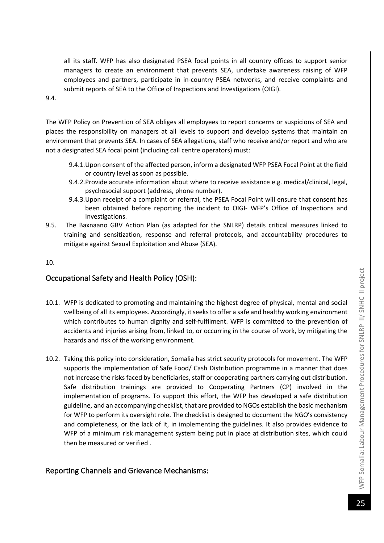all its staff. WFP has also designated PSEA focal points in all country offices to support senior managers to create an environment that prevents SEA, undertake awareness raising of WFP employees and partners, participate in in-country PSEA networks, and receive complaints and submit reports of SEA to the Office of Inspections and Investigations (OIGI).

9.4.

The WFP Policy on Prevention of SEA obliges all employees to report concerns or suspicions of SEA and places the responsibility on managers at all levels to support and develop systems that maintain an environment that prevents SEA. In cases of SEA allegations, staff who receive and/or report and who are not a designated SEA focal point (including call centre operators) must:

- 9.4.1.Upon consent of the affected person, inform a designated WFP PSEA Focal Point at the field or country level as soon as possible.
- 9.4.2. Provide accurate information about where to receive assistance e.g. medical/clinical, legal, psychosocial support (address, phone number).
- 9.4.3.Upon receipt of a complaint or referral, the PSEA Focal Point will ensure that consent has been obtained before reporting the incident to OIGI - WFP's Office of Inspections and Investigations.
- 9.5. The Baxnaano GBV Action Plan (as adapted for the SNLRP) details critical measures linked to training and sensitization, response and referral protocols, and accountability procedures to mitigate against Sexual Exploitation and Abuse (SEA) .

### 10.

### Occupational Safety and Health Policy (OSH):

- 10.1. WFP is dedicated to promoting and maintaining the highest degree of physical, mental and social wellbeing of all its employees. Accordingly, it seeks to offer a safe and healthy working environment which contributes to human dignity and self -fulfilment. WFP is committed to the prevention of accidents and injuries arising from, linked to, or occurring in the course of work, by mitigating the hazards and risk of the working environment .
- 10.2. Taking this policy into consideration, Somalia has strict security protocols for movement. The WFP support s the implementation of Safe Food/ Cash Distribution programme in a manner that does not increase the risks faced by beneficiaries, staff or cooperating partners carrying out distribution.<br>Safe distribution trainings are provided to Cooperating Partners (CP) involved in the implementation of programs. To support this effort, the WFP has developed a safe distribution guideline, and an accompanying checklist, that are provided to NGOs establish the basic mechanism for WFP to perform its oversight role. The checklist is designed to document the NGO's consistency and completeness, or the lack of it, in implementing the guidelines. It also provides evidence to WFP of a minimum risk management system being put in place at distribution sites, which could then be measured or verified .

### Reporting Channels and Grievance Mechanisms: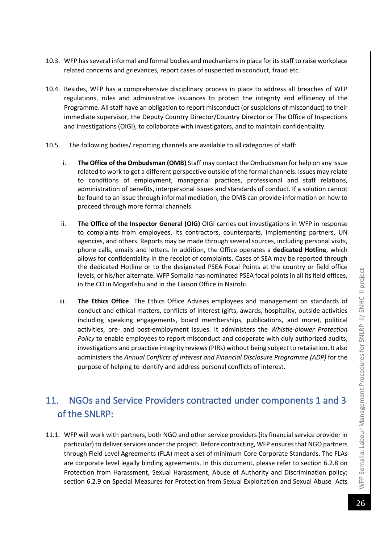- 10.3. WFP has several informal and formal bodies and mechanisms in place for its staff to raise workplace related concerns and grievances, report cases of suspected misconduct, fraud etc.
- 10.4. Besides, WFP has a comprehensive disciplinary process in place to address all breaches of WFP regulations, rules and administrative issuances to protect the integrity and efficiency of the Programme. All staff have an obligation to report misconduct (or suspicions of misconduct) to their immediate supervisor, the Deputy Country Director/Country Director or The Office of Inspections and Investigations (OIGI), to collaborate with investigators, and to maintain confidentiality.
- 10.5. The following bodies/ reporting channels are available to all categories of staff:
	- i. **The Office of the Ombudsman (OMB)** Staff may contact the Ombudsman for help on any issue related to work to get a different perspective outside of the formal channels. Issues may relate to conditions of employment, managerial practices, professional and staff relations, administration of benefits, interpersonal issues and standards of conduct. If a solution cannot be found to an issue through informal mediation, the OMB can provide information on how to proceed through more formal channels.
	- ii. **The Office of the Inspector General (OIG)** OIGI carries out investigations in WFP in response to complaints from employees, its contractors, counterparts, implementing partners, UN agencies, and others. Reports may be made through several sources, including personal visits, phone calls, emails and letters. In addition, the Office operates a **dedicated Hotline**, which allows for confidentiality in the receipt of complaints. Cases of SEA may be reported through the dedicated Hotline or to the designated PSEA Focal Points at the country or field office levels, or his/her alternate. WFP Somalia has nominated PSEA focal points in all its field offices, in the CO in Mogadishu and in the Liaison Office in Nairobi.
	- iii. **The Ethics Office** The Ethics Office Advises employees and management on standards of conduct and ethical matters, conflicts of interest (gifts, awards, hospitality, outside activities including speaking engagements, board memberships, publications, and more), political activities, pre- and post-employment issues. It administers the Whistle-blower Protection *Policy* to enable employees to report misconduct and cooperate with duly authorized audits, investigations and proactive integrity reviews (PIRs) without being subject to retaliation. It also administers the *Annual Conflicts of Interest and Financial Disclosure Programme (ADP)* for the purpose of helping to identify and address personal conflicts of interest .

# 11. NGOs and Service Providers contracted under components 1 and 3 of the SNLRP:

11.1. WFP will work with partners, both NGO and other service providers (its financial service provider in particular) to deliver services under the project. Before contracting, WFP ensures that NGO partners through Field Level Agreements (FLA) meet a set of minimum Core Corporate Standards. The FLAs are corporate level legally binding agreements. In this document, please refer to section 6.2.8 on Protection from Harassment, Sexual Harassment, Abuse of Authority and Discrimination policy; section 6.2.9 on Special Measures for Protection from Sexual Exploitation and Sexual Abuse Acts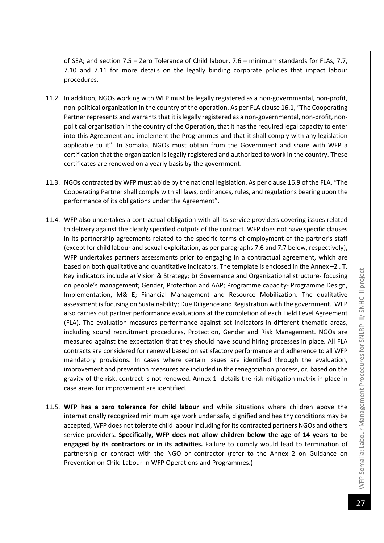of SEA; and section 7.5 - Zero Tolerance of Child labour, 7.6 - minimum standards for FLAs, 7.7, 7.10 and 7.11 for more details on the legally binding corporate policies that impact labour procedures.

- 11.2. In addition, NGOs working with WFP must be legally registered as a non -governmental, non -profit, non -political organization in the country of the operation. As per FLA clause 16.1, "The Cooperating Partner represents and warrants that it is legally registered as a non-governmental, non-profit, nonpolitical organisation in the country of the Operation, that it has the required legal capacity to enter into this Agreement and implement the Programmes and that it shall comply with any legislation applicable to it". In Somalia, NGOs must obtain from the Government and share with WFP a certification that the organization is legally registered and authorized to work in the country. These certificates are renewed on a yearly basis by the government.
- 11.3. NGOs contracted by WFP must abide by the national legislation. As per clause 16.9 of the FLA, "The Cooperating Partner shall comply with all laws, ordinances, rules, and regulations bearing upon the performance of its obligations under the Agreement".
- 11.4. WFP also undertakes a contractual obligation with all its service providers covering issues related to delivery against the clearly specified outputs of the contract. WFP does not have specific clauses in its partnership agreements related to the specific terms of employment of the partner's staff (except for child labour and sexual exploitation, as per paragraphs 7.6 and 7.7 below, respectively), WFP undertakes partners assessments prior to engaging in a contractual agreement, which are based on both qualitative and quantitative indicators. The template is enclosed in the Annex – 2 . T. Key indicators include a) Vision & Strategy; b) Governance and Organizational structure - focusing on people's management; Gender, Protection and AAP; Programme capacity - Programme Design, Implementation, M& E; Financial Management and Resource Mobilization. The qualitative assessment is focusing on Sustainability; Due Diligence and Registration with the government . WFP also carries out partner performance evaluations at the completion of each Field Level Agreement (FLA) . The evaluation measures performance against set indicators in different thematic areas , including sound recruitment procedures, Protection, Gender and Risk Management. NGOs are measured against the expectation that they should have sound hiring processes in place . All FLA contracts are considered for renewal based on satisfactory performance and adherence to all WFP mandatory provisions. In cases where certain issues are identified through the evaluation, improvement and prevention measures are included in the renegotiation process, or, based on the gravity of the risk, contract is not renewed. Annex 1 details the risk mitigation matrix in place in case areas for improvement are identified.
- 11.5. **WFP has a zero tolerance for child labour** and while situations where children above the internationally recognized minimum age work under safe, dignified and healthy conditions may be accepted, WFP does not tolerate child labour including for its contracted partners NGOs and others service providers. **Specifically, WFP does not allow children below the age of 14 years to be engaged by its contractors or in its activities.** Failure to comply would lead to termination of partnership or contract with the NGO or contractor (refer to the Annex 2 on Guidance on Prevention on Child Labour in WFP Operations and Programmes.)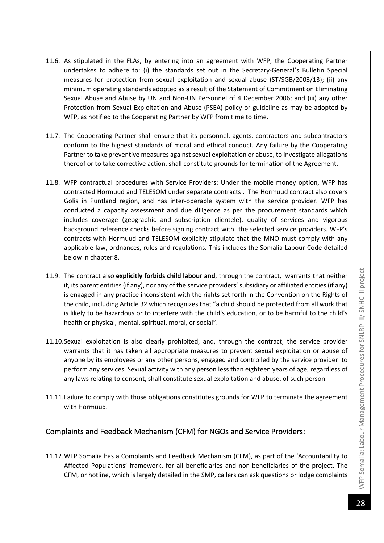- 11.6. As stipulated in the FLAs, by entering into an agreement with WFP, the Cooperating Partner undertakes to adhere to: (i) the standards set out in the Secretary -General's Bulletin Special measures for protection from sexual exploitation and sexual abuse (ST/SGB/2003/13); (ii) any minimum operating standards adopted as a result of the Statement of Commitment on Eliminating Sexual Abuse and Abuse by UN and Non -UN Personnel of 4 December 2006; and (iii) any other Protection from Sexual Exploitation and Abuse (PSEA) policy or guideline as may be adopted by WFP, as notified to the Cooperating Partner by WFP from time to time.
- 11.7. The Cooperating Partner shall ensure that its personnel, agents, contractors and subcontractors conform to the highest standards of moral and ethical conduct. Any failure by the Cooperating Partner to take preventive measures against sexual exploitation or abuse, to investigate allegations thereof or to take corrective action, shall constitute grounds for termination of the Agreement.
- 11.8. WFP contractual procedures with Service Providers: Under the mobile money option, WFP has contracted Hormuud and TELESOM under separate contracts . The Hormuud contract also covers Golis in Puntland region, and has inter-operable system with the service provider. WFP has conducted a capacity assessment and due diligence as per the procurement standards which includes coverage (geographic and subscription clientele), quality of services and vigorous background reference checks before signing contract with the selected service providers. WFP's contract s with Hormuud and TELESOM explicitly stipulate that the MNO must comply with any applicable law, ordnances, rules and regulations. This includes the Somalia Labo ur Code detailed below in chapter 8 .
- 11.9. The contract also *explicitly forbids child labour and*, through the contract, warrants that neither it, its parent entities (if any), nor any of the service providers' subsidiary or affiliated entities (if any) is engaged in any practice inconsistent with the rights set forth in the Convention on the Rights of the child, including Article 32 which recognizes that "a child should be protected from all work that is likely to be hazardous or to interfere with the child's education, or to be harmful to the child's health or physical, mental, spiritual, moral, or social".
- 11.10. Sexual exploitation is also clearly prohibited, and, through the contract, the service provider warrants that it has taken all appropriate measures to prevent sexual exploitation or abuse of anyone by its employees or any other persons, engaged and controlled by the service provider to perform any services. Sexual activity with any person less than eighteen years of age, regardless of any laws relating to consent, shall constitute sexual exploitation and abuse, of such person.
- 11.11.Failure to comply with those obligations constitute s grounds for WFP to terminate the agreement with Hormuud.

### Complaints and Feedback Mechanism (CFM) for NGOs and Service Providers :

11.12.WFP Somalia has a Complaints and Feedback Mechanism (CFM) , as part of the 'Accountability to Affected Populations' framework, for all beneficiaries and non -beneficiaries of the project. The CFM, or hotline, which is largely detailed in the SMP, callers can ask questions or lodge complaints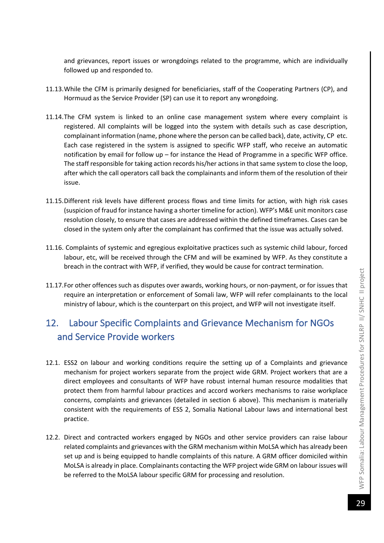and grievances, report issues or wrongdoings related to the programme, which are individually followed up and responded to.

- 11.13.While the CFM is primarily designed for beneficiaries, staff of the Cooperating Partners (CP), and Hormuud as the Service Provider (SP) can use it to report any wrongdoing.
- 11.14.The CFM system is linked to an online case management system where every complaint is registered. All complaints will be logged into the system with details such as case description, complainant information (name, phone where the person can be called back), date, activity, CP etc. Each case registered in the system is assigned to specific WFP staff, who receive an automatic notification by email for follow up – for instance the Head of Programme in a specific WFP office. The staff responsible for taking action records his/her actions in that same system to close the loop, after which the call operators call back the complainants and inform them of the resolution of their issue.
- 11.15.Different risk levels have different process flows and time limits for action, with high risk cases (suspicion of fraud for instance having a shorter timeline for action). WFP's M&E unit monitors case resolution closely, to ensure that cases are addressed within the defined timeframes. Cases can be closed in the system only after the complainant has confirmed that the issue was actually solved.
- 11.16. Complaints of systemic and egregious exploitative practices such as systemic child labour, forced labour, etc, will be received through the CFM and will be examined by WFP. As they constitute a breach in the contract with WFP, if verified, they would be cause for contract termination.
- 11.17.For other offences such as disputes over awards, working hours, or non -payment, or for issues that require an interpretation or enforcement of Somali law, WFP will refer complainants to the local ministry of labour, which is the counterpart on this project, and WFP will not investigate itself.

# 12. Labour Specific Complaints and Grievance Mechanism for NGOs and Service Provide workers

- 12.1. ESS2 on labour and working conditions require the setting up of a Complaints and grievance mechanism for project workers separate from the project wide GRM. Project workers that are a direct employees and consultants of WFP have robust internal human resource modalities that protect them from harmful labour practices and accord workers mechanisms to raise workplace concerns, complaints and grievances (detailed in section 6 above). This mechanism is materially consistent with the requirements of ESS 2, Somalia National Labour laws and international best practice.
- 12.2. Direct and contracted workers engaged by NGOs and other service providers can raise labour related complaints and grievances with the GRM mechanism within MoLSA which has already been set up and is being equipped to handle complaints of this nature. A GRM officer domiciled within MoLSA is already in place. Complainants contacting the WFP project wide GRM on labour issues will be referred to the MoLSA labour specific GRM for processing and resolution .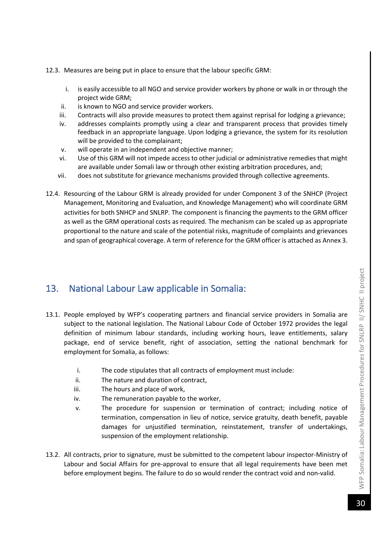- 12.3. Measures are being put in place to ensure that the labour specific GRM:
	- i. is easily accessible to all NGO and service provider workers by phone or walk in or through the project wide GRM;
	- ii. is known to NGO and service provider workers.
	- iii. Contracts will also provide measures to protect them against reprisal for lodging a grievance;
	- iv. addresses complaints promptly using a clear and transparent process that provides timely feedback in an appropriate language. Upon lodging a grievance, the system for its resolution will be provided to the complainant;
	- v. will operate in an independent and objective manner;
	- vi. Use of this GRM will not impede access to other judicial or administrative remedies that might are available under Somali law or through other existing arbitration procedures, and;
	- vii. does not substitute for grievance mechanisms provided through collective agreements.
- 12.4. Resourcing of the Labour GRM is already provided for under Component 3 of the SNHCP (Project Management, Monitoring and Evaluation, and Knowledge Management) who will coordinate GRM activities for both SNHCP and SNLRP. The component is financing the payments to the GRM officer as well as the GRM operational costs as required. The mechanism can be scaled up as appropriate proportional to the nature and scale of the potential risks, magnitude of complaints and grievances and span of geographical coverage. A term of reference for the GRM officer is attached as Annex 3.

## 13. National Labour Law applicable in Somalia:

- 13.1. People employed by WFP's cooperating partners and financial service providers in Somalia are subject to the national legislation. The National Labour Code of October 1972 provides the legal definition of minimum labour standards, including working hours, leave entitlements, salary package, end of service benefit, right of association, setting the national benchmark for employment for Somalia, as follows:
	- i. The code stipulates that all contracts of employment must include:
	- ii. The nature and duration of contract,
	- iii. The hours and place of work,
	- iv. The remuneration payable to the worker,
	- v. The procedure for suspension or termination of contract; including notice of termination, compensation in lieu of notice, service gratuity, death benefit, payable damages for unjustified termination, reinstatement, transfer of undertakings, suspension of the employment relationship.
- 13.2. All contracts, prior to signature, must be submitted to the competent labour inspector-Ministry of Labour and Social Affairs for pre-approval to ensure that all legal requirements have been met before employment begins. The failure to do so would render the contract void and non-valid.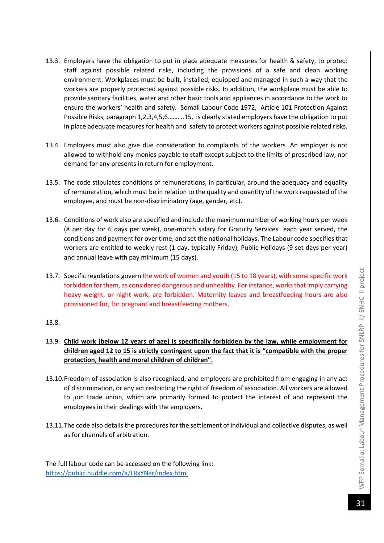WFP Somalia: Labour Management Procedures for SNLRP II/SNHC II project WFP Somalia: Labour Management Procedures for SNLRP II/ SNHC II project

- 13.3. Employers have the obligation to put in place adequate measures for health & safety, to protect staff against possible related risks, including the provisions of a safe and clean working environment. Workplaces must be built, installed, equipped and managed in such a way that the workers are properly protected against possible risks. In addition, the workplace must be able to provide sanitary facilities, water and other basic tools and appliances in accordance to the work to ensure the workers' health and safety. Somali Labour Code 1972, Article 101 Protection Against Possible Risks, paragraph 1,2,3,4,5,6……….15, is clearly stated employers have the obligation to put in place adequate measures for health and safety to protect workers against possible related risks.
- 13.4. Employers must also give due consideration to complaints of the workers. An employer is not allowed to withhold any monies payable to staff except subject to the limits of prescribed law, no r demand for any presents in return for employment.
- 13.5. The code stipulates conditions of remunerations, in particular , around the adequacy and equality of remuneration, which must be in relation to the quality and quantity of the work requested of the employee, and must be non -discriminatory (age, gender, etc).
- 13.6. Conditions of work also are specified and include the maximum number of working hours per week (8 per day for 6 days per week), one -month salary for Gratuity Services each year served, the conditions and payment for over time, and set the national holidays. The Labour code specifies that workers are entitled to weekly rest (1 day, typically Friday), Public Holidays (9 set days per year) and annual leave with pay minimum (15 days).
- 13.7. Specific regulations govern the work of women and youth (15 to 18 years), with some specific work forbidden for them, as considered dangerous and unhealthy. For instance, works that imply carrying heavy weight, or night work, are forbidden. Maternity leaves and breastfeeding hours are also provisioned for, for pregnant and breastfeeding mothers .

### 13.8.

### 13.9. **Child work (below 12 years of age) is specifically forbidden by the law, while employment for children aged 12 to 15 is strictly contingent upon the fact that it is "compatible with the proper protection, health and moral children of children ".**

- 13.10.Freedom of association is also recognized, and employers are prohibited from engaging in any act of discrimination, or any act restricting the right of freedom of association. All workers are allowed to join trade union, which are primarily formed to protect the interest of and represent the employees in their dealings with the employers.
- 13.11.The code also details the procedures for the settlement of individual and collective disputes, as well as for channels of arbitration.

The full labour code can be accessed on the following link: https://public.huddle.com/a/LRxYNar/index.html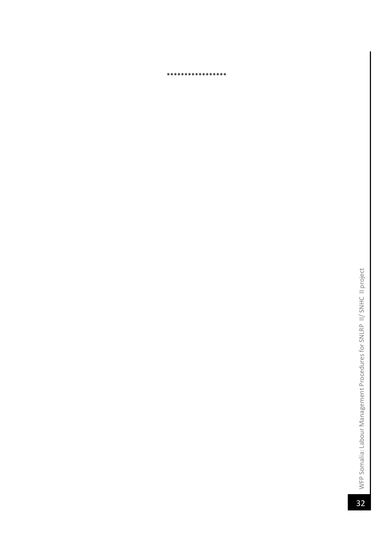\*\*\*\*\*\*\*\*\*\*\*\*\*\*\*\*\*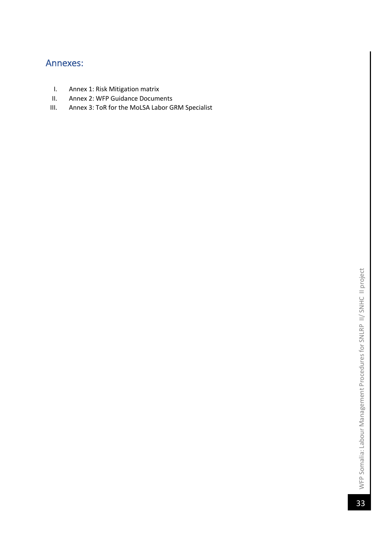## Annexes:

- I. Annex 1: Risk Mitigation matrix
- II. Annex 2: WFP Guidance Documents
- III. Annex 3: ToR for the MoLSA Labor GRM Specialist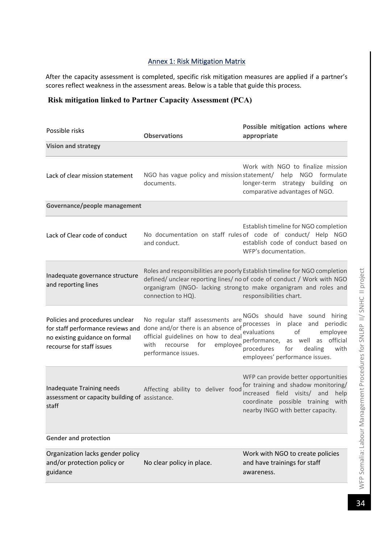### **Annex 1: Risk Mitigation Matrix**

After the capacity assessment is completed, specific risk mitigation measures are applied if a partner's scores reflect weakness in the assessment areas. Below is a table that guide this process.

## **Risk mitigation linked to Partner Capacity Assessment (PCA)**

| Possible risks                                                                                                                      | <b>Observations</b>                                                                                                                  | Possible mitigation actions where<br>appropriate                                                                                                                                                                                                         |
|-------------------------------------------------------------------------------------------------------------------------------------|--------------------------------------------------------------------------------------------------------------------------------------|----------------------------------------------------------------------------------------------------------------------------------------------------------------------------------------------------------------------------------------------------------|
| <b>Vision and strategy</b>                                                                                                          |                                                                                                                                      |                                                                                                                                                                                                                                                          |
| Lack of clear mission statement                                                                                                     | NGO has vague policy and mission statement/<br>documents.                                                                            | Work with NGO to finalize mission<br>help NGO formulate<br>longer-term strategy building on<br>comparative advantages of NGO.                                                                                                                            |
| Governance/people management                                                                                                        |                                                                                                                                      |                                                                                                                                                                                                                                                          |
| Lack of Clear code of conduct                                                                                                       | and conduct.                                                                                                                         | Establish timeline for NGO completion<br>No documentation on staff rules of code of conduct/ Help NGO<br>establish code of conduct based on<br>WFP's documentation.                                                                                      |
| Inadequate governance structure<br>and reporting lines                                                                              | connection to HQ).                                                                                                                   | Roles and responsibilities are poorly Establish timeline for NGO completion<br>defined/ unclear reporting lines/ no of code of conduct / Work with NGO<br>organigram (INGO- lacking strong to make organigram and roles and<br>responsibilities chart.   |
| Policies and procedures unclear<br>for staff performance reviews and<br>no existing guidance on formal<br>recourse for staff issues | No regular staff assessments are<br>official guidelines on how to deal<br>employee<br>for<br>with<br>recourse<br>performance issues. | NGOs should have sound hiring<br>done and/or there is an absence of processes in place and periodic<br>of<br>evaluations<br>employee<br>official<br>as well as<br>performance,<br>procedures<br>for<br>dealing<br>with<br>employees' performance issues. |
| Inadequate Training needs<br>assessment or capacity building of assistance.<br>staff                                                | Affecting ability to deliver food                                                                                                    | WFP can provide better opportunities<br>for training and shadow monitoring/<br>increased field visits/ and help<br>coordinate possible training with<br>nearby INGO with better capacity.                                                                |
| <b>Gender and protection</b>                                                                                                        |                                                                                                                                      |                                                                                                                                                                                                                                                          |
| Organization lacks gender policy<br>and/or protection policy or<br>guidance                                                         | No clear policy in place.                                                                                                            | Work with NGO to create policies<br>and have trainings for staff<br>awareness.                                                                                                                                                                           |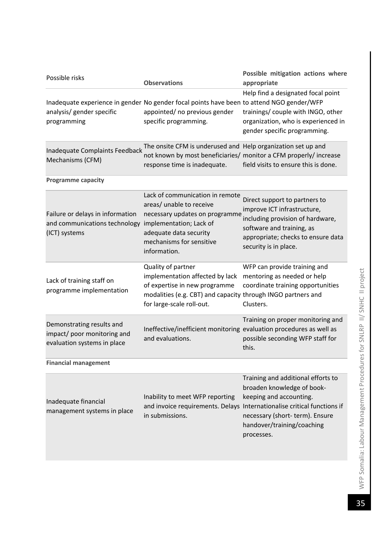| Possible risks                                                                          | <b>Observations</b>                                                                                                                                                                            | Possible mitigation actions where<br>appropriate                                                                                                                                                                                                     |
|-----------------------------------------------------------------------------------------|------------------------------------------------------------------------------------------------------------------------------------------------------------------------------------------------|------------------------------------------------------------------------------------------------------------------------------------------------------------------------------------------------------------------------------------------------------|
| analysis/ gender specific<br>programming                                                | Inadequate experience in gender No gender focal points have been to attend NGO gender/WFP<br>appointed/ no previous gender<br>specific programming.                                            | Help find a designated focal point<br>trainings/ couple with INGO, other<br>organization, who is experienced in<br>gender specific programming.                                                                                                      |
| Inadequate Complaints Feedback<br>Mechanisms (CFM)                                      | The onsite CFM is underused and Help organization set up and<br>response time is inadequate.                                                                                                   | not known by most beneficiaries/ monitor a CFM properly/ increase<br>field visits to ensure this is done.                                                                                                                                            |
| <b>Programme capacity</b>                                                               |                                                                                                                                                                                                |                                                                                                                                                                                                                                                      |
| Failure or delays in information<br>and communications technology<br>(ICT) systems      | Lack of communication in remote<br>areas/ unable to receive<br>necessary updates on programme<br>implementation; Lack of<br>adequate data security<br>mechanisms for sensitive<br>information. | Direct support to partners to<br>improve ICT infrastructure,<br>including provision of hardware,<br>software and training, as<br>appropriate; checks to ensure data<br>security is in place.                                                         |
| Lack of training staff on<br>programme implementation                                   | Quality of partner<br>implementation affected by lack<br>of expertise in new programme<br>modalities (e.g. CBT) and capacity through INGO partners and<br>for large-scale roll-out.            | WFP can provide training and<br>mentoring as needed or help<br>coordinate training opportunities<br>Clusters.                                                                                                                                        |
| Demonstrating results and<br>impact/ poor monitoring and<br>evaluation systems in place | Ineffective/inefficient monitoring evaluation procedures as well as<br>and evaluations.                                                                                                        | Training on proper monitoring and<br>possible seconding WFP staff for<br>this.                                                                                                                                                                       |
| <b>Financial management</b>                                                             |                                                                                                                                                                                                |                                                                                                                                                                                                                                                      |
| Inadequate financial<br>management systems in place                                     | Inability to meet WFP reporting<br>in submissions.                                                                                                                                             | Training and additional efforts to<br>broaden knowledge of book-<br>keeping and accounting.<br>and invoice requirements. Delays Internationalise critical functions if<br>necessary (short-term). Ensure<br>handover/training/coaching<br>processes. |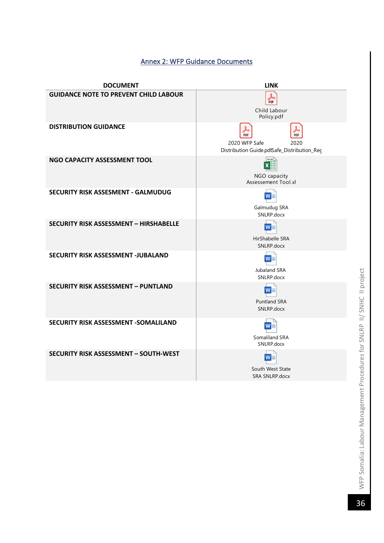### Annex 2: WFP Guidance Documents

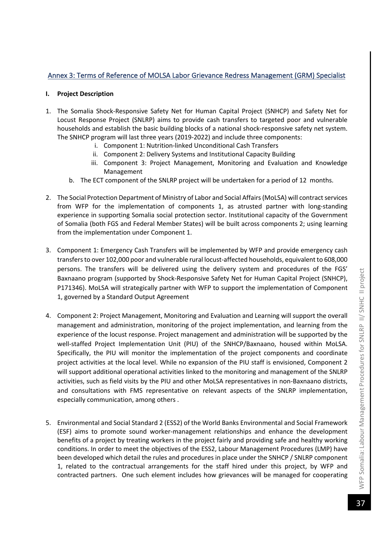### **I. Project Description**

- 1. The Somalia Shock-Responsive Safety Net for Human Capital Project (SNHCP) and Safety Net for Locust Response Project (SNLRP) aims to provide cash transfers to targeted poor and vulnerable households and establish the basic building blocks of a national shock-responsive safety net system. The SNHCP program will last three years (2019-2022) and include three components:
	- i. Component 1: Nutrition-linked Unconditional Cash Transfers
	- ii. Component 2: Delivery Systems and Institutional Capacity Building
	- iii. Component 3: Project Management, Monitoring and Evaluation and Knowledge Management
	- b. The ECT component of the SNLRP project will be undertaken for a period of 12 months.
- 2. The Social Protection Department of Ministry of Labor and Social Affairs (MoLSA) will contract services from WFP for the implementation of components 1, as atrusted partner with long-standing experience in supporting Somalia social protection sector. Institutional capacity of the Government of Somalia (both FGS and Federal Member States) will be built across components 2; using learning from the implementation under Component 1.
- 3. Component 1: Emergency Cash Transfers will be implemented by WFP and provide emergency cash transfers to over 102,000 poor and vulnerable rural locust-affected households, equivalent to 608,000 persons. The transfers will be delivered using the delivery system and procedures of the FGS' Baxnaano program (supported by Shock-Responsive Safety Net for Human Capital Project (SNHCP), P171346). MoLSA will strategically partner with WFP to support the implementation of Component 1, governed by a Standard Output Agreement
- 4. Component 2: Project Management, Monitoring and Evaluation and Learning will support the overall management and administration, monitoring of the project implementation, and learning from the experience of the locust response. Project management and administration will be supported by the well-staffed Project Implementation Unit (PIU) of the SNHCP/Baxnaano, housed within MoLSA. Specifically, the PIU will monitor the implementation of the project components and coordinate project activities at the local level. While no expansion of the PIU staff is envisioned, Component 2 will support additional operational activities linked to the monitoring and management of the SNLRP activities, such as field visits by the PIU and other MoLSA representatives in non-Baxnaano districts, and consultations with FMS representative on relevant aspects of the SNLRP implementation, especially communication, among others .
- 5. Environmental and Social Standard 2 (ESS2) of the World Banks Environmental and Social Framework (ESF) aims to promote sound worker-management relationships and enhance the development benefits of a project by treating workers in the project fairly and providing safe and healthy working conditions. In order to meet the objectives of the ESS2, Labour Management Procedures (LMP) have been developed which detail the rules and procedures in place under the SNHCP / SNLRP component 1, related to the contractual arrangements for the staff hired under this project, by WFP and contracted partners. One such element includes how grievances will be managed for cooperating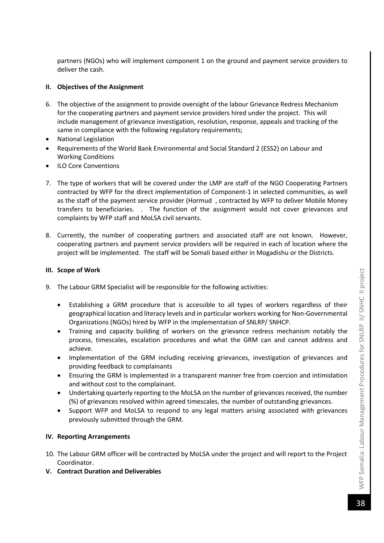partners (NGOs) who will implement component 1 on the ground and payment service providers to deliver the cash.

#### **II. Objectives of the Assignment**

- 6. The objective of the assignment to provide oversight of the labour Grievance Redress Mechanism for the cooperating partners and payment service providers hired under the project. This will include management of grievance investigation, resolution, response, appeals and tracking of the same in compliance with the following regulatory requirements;
- National Legislation
- Requirements of the World Bank Environmental and Social Standard 2 (ESS2) on Labour and Working Conditions
- ILO Core Conventions
- 7. The type of workers that will be covered under the LMP are staff of the NGO Cooperating Partners contracted by WFP for the direct implementation of Component -1 in selected communities, as well as the staff of the payment service provider (Hormud , contracted by WFP to deliver Mobile Money transfers to beneficiaries. . The function of the assignment would not cover grievances and complaints by WFP staff and MoLSA civil servants.
- 8. Currently, the number of cooperating partners and associated staff are not known. However, cooperating partners and payment service providers will be required in each of location where the project will be implemented. The staff will be Somali based either in Mogadishu or the Districts.

#### **III. Scope of Work**

- 9. The Labour GRM Specialist will be responsible for the following activities:
	- Establishing a GRM procedure that is accessible to all types of workers regardless of their geographical location and literacy levels and in particular workers working for Non -Governmental Organizations (NGOs) hired by WFP in the implementation of SNLRP/ SNHCP.
	- Training and capacity building of workers on the grievance redress mechanism notably the process, timescales, escalation procedures and what the GRM can and cannot address and achieve.
	- Implementation of the GRM including receiving grievances, investigation of grievances and providing feedback to complainants
	- Ensuring the GRM is implemented in a transparent manner free from coercion and intimidation and without cost to the complainant.
	- Undertaking quarterly reporting to the MoLSA on the number of grievances received, the number (%) of grievances resolved within agreed timescales, the number of outstanding grievances.
	- Support WFP and MoLSA to respond to any legal matters arising associated with grievances previously submitted through the GRM.

#### **IV. Reporting Arrangements**

- 10. The Labour GRM officer will be contracted by MoLSA under the project and will report to the Project Coordinator.
- **V. Contract Duration and Deliverables**